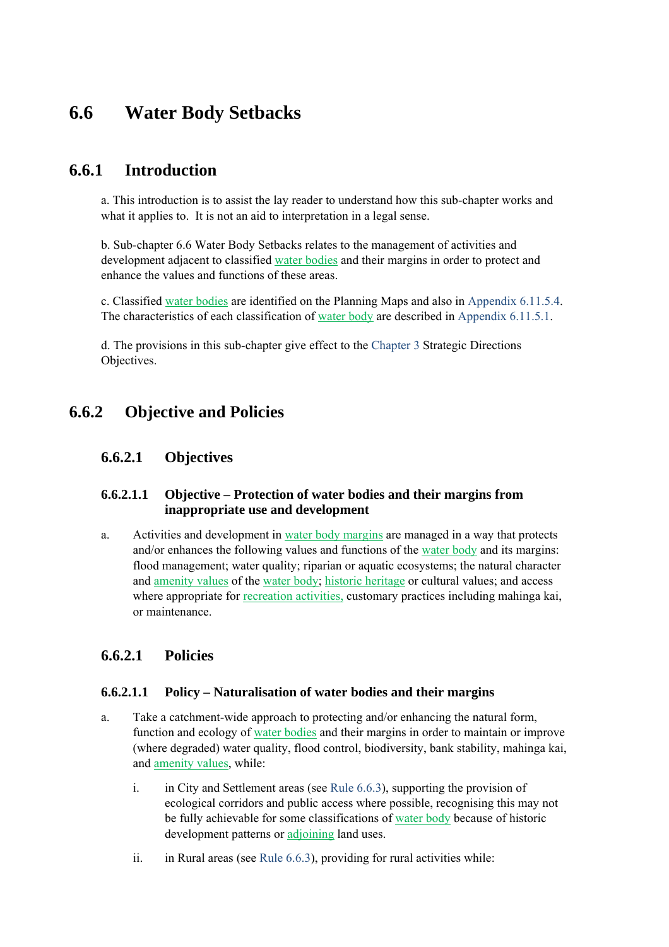# **6.6 Water Body Setbacks**

# **6.6.1 Introduction**

a. This introduction is to assist the lay reader to understand how this sub-chapter works and what it applies to. It is not an aid to interpretation in a legal sense.

b. Sub-chapter 6.6 Water Body Setbacks relates to the management of activities and development adjacent to classified water bodies and their margins in order to protect and enhance the values and functions of these areas.

c. Classified water bodies are identified on the Planning Maps and also in Appendix 6.11.5.4. The characteristics of each classification of water body are described in Appendix 6.11.5.1.

d. The provisions in this sub-chapter give effect to the Chapter 3 Strategic Directions Objectives.

# **6.6.2 Objective and Policies**

#### **6.6.2.1 Objectives**

#### **6.6.2.1.1 Objective – Protection of water bodies and their margins from inappropriate use and development**

a. Activities and development in water body margins are managed in a way that protects and/or enhances the following values and functions of the water body and its margins: flood management; water quality; riparian or aquatic ecosystems; the natural character and amenity values of the water body; historic heritage or cultural values; and access where appropriate for recreation activities, customary practices including mahinga kai, or maintenance.

#### **6.6.2.1 Policies**

#### **6.6.2.1.1 Policy – Naturalisation of water bodies and their margins**

- a. Take a catchment-wide approach to protecting and/or enhancing the natural form, function and ecology of water bodies and their margins in order to maintain or improve (where degraded) water quality, flood control, biodiversity, bank stability, mahinga kai, and amenity values, while:
	- i. in City and Settlement areas (see Rule 6.6.3), supporting the provision of ecological corridors and public access where possible, recognising this may not be fully achievable for some classifications of water body because of historic development patterns or adjoining land uses.
	- ii. in Rural areas (see Rule  $6.6.3$ ), providing for rural activities while: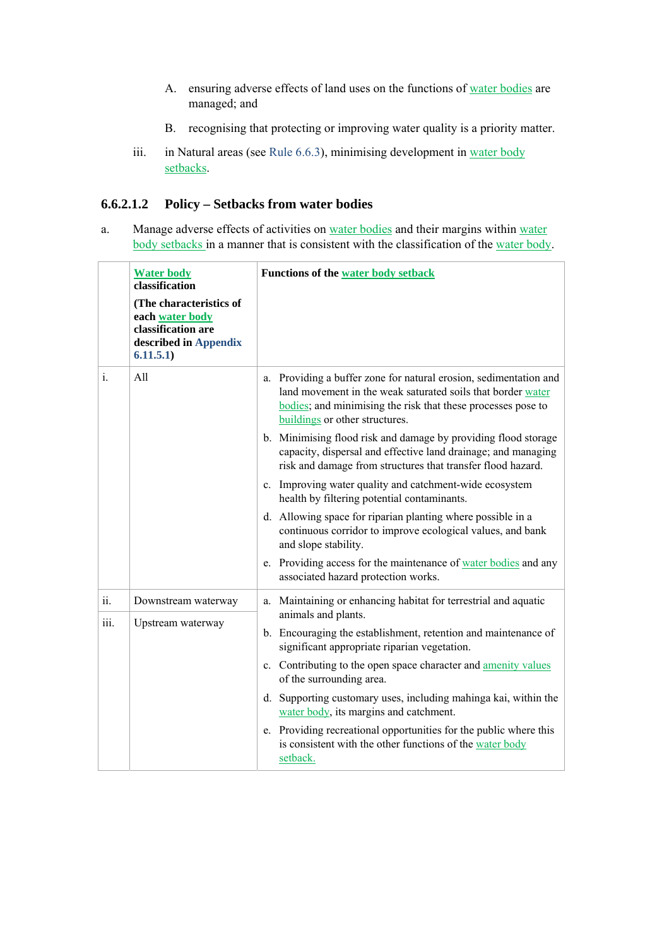- A. ensuring adverse effects of land uses on the functions of water bodies are managed; and
- B. recognising that protecting or improving water quality is a priority matter.
- iii. in Natural areas (see Rule 6.6.3), minimising development in water body setbacks.

#### **6.6.2.1.2 Policy – Setbacks from water bodies**

a. Manage adverse effects of activities on water bodies and their margins within water body setbacks in a manner that is consistent with the classification of the water body.

|      | <b>Water body</b><br>classification<br>(The characteristics of<br>each water body<br>classification are<br>described in Appendix<br>6.11.5.1) | <b>Functions of the water body setback</b>                                                                                                                                                                                            |
|------|-----------------------------------------------------------------------------------------------------------------------------------------------|---------------------------------------------------------------------------------------------------------------------------------------------------------------------------------------------------------------------------------------|
| i.   | All                                                                                                                                           | Providing a buffer zone for natural erosion, sedimentation and<br>a.<br>land movement in the weak saturated soils that border water<br>bodies; and minimising the risk that these processes pose to<br>buildings or other structures. |
|      |                                                                                                                                               | b. Minimising flood risk and damage by providing flood storage<br>capacity, dispersal and effective land drainage; and managing<br>risk and damage from structures that transfer flood hazard.                                        |
|      |                                                                                                                                               | c. Improving water quality and catchment-wide ecosystem<br>health by filtering potential contaminants.                                                                                                                                |
|      |                                                                                                                                               | d. Allowing space for riparian planting where possible in a<br>continuous corridor to improve ecological values, and bank<br>and slope stability.                                                                                     |
|      |                                                                                                                                               | e. Providing access for the maintenance of water bodies and any<br>associated hazard protection works.                                                                                                                                |
| 11.  | Downstream waterway                                                                                                                           | Maintaining or enhancing habitat for terrestrial and aquatic<br>a.<br>animals and plants.                                                                                                                                             |
| iii. | Upstream waterway                                                                                                                             | b. Encouraging the establishment, retention and maintenance of<br>significant appropriate riparian vegetation.                                                                                                                        |
|      |                                                                                                                                               | c. Contributing to the open space character and <b>amenity values</b><br>of the surrounding area.                                                                                                                                     |
|      |                                                                                                                                               | d. Supporting customary uses, including mahinga kai, within the<br>water body, its margins and catchment.                                                                                                                             |
|      |                                                                                                                                               | e. Providing recreational opportunities for the public where this<br>is consistent with the other functions of the water body<br>setback.                                                                                             |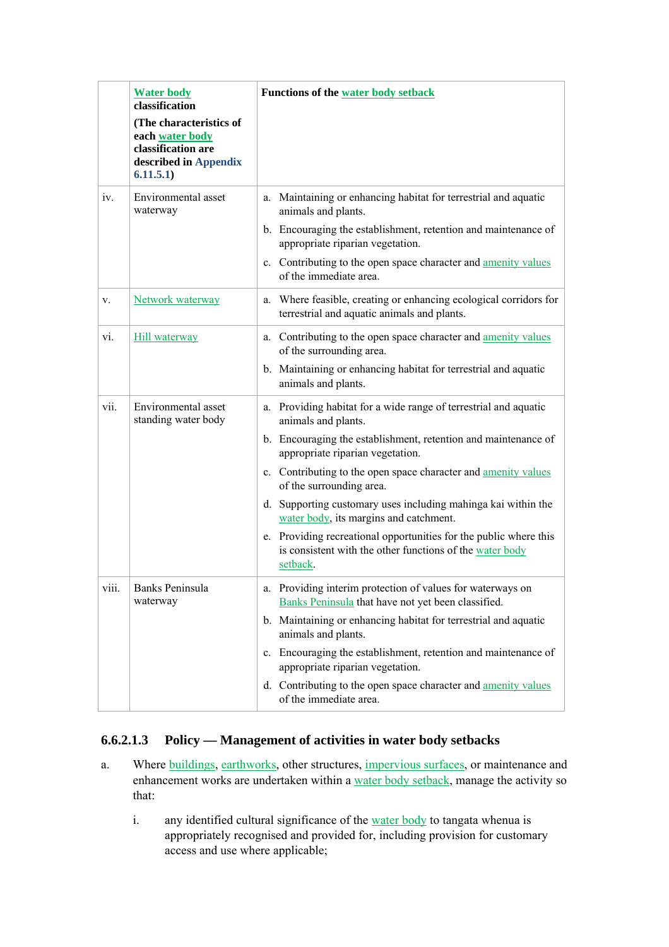|              | <b>Water body</b><br>classification<br>(The characteristics of<br>each water body<br>classification are<br>described in Appendix<br>6.11.5.1) | Functions of the water body setback                                                                                                                                                                                                                                                                                                                                                                                                                                                                                                                 |
|--------------|-----------------------------------------------------------------------------------------------------------------------------------------------|-----------------------------------------------------------------------------------------------------------------------------------------------------------------------------------------------------------------------------------------------------------------------------------------------------------------------------------------------------------------------------------------------------------------------------------------------------------------------------------------------------------------------------------------------------|
| iv.          | Environmental asset<br>waterway                                                                                                               | Maintaining or enhancing habitat for terrestrial and aquatic<br>a.<br>animals and plants.<br>b. Encouraging the establishment, retention and maintenance of<br>appropriate riparian vegetation.<br>c. Contributing to the open space character and amenity values<br>of the immediate area.                                                                                                                                                                                                                                                         |
| V.           | Network waterway                                                                                                                              | a. Where feasible, creating or enhancing ecological corridors for<br>terrestrial and aquatic animals and plants.                                                                                                                                                                                                                                                                                                                                                                                                                                    |
| vi.          | <b>Hill waterway</b>                                                                                                                          | a. Contributing to the open space character and amenity values<br>of the surrounding area.<br>b. Maintaining or enhancing habitat for terrestrial and aquatic<br>animals and plants.                                                                                                                                                                                                                                                                                                                                                                |
| vii.         | Environmental asset<br>standing water body                                                                                                    | a. Providing habitat for a wide range of terrestrial and aquatic<br>animals and plants.<br>b. Encouraging the establishment, retention and maintenance of<br>appropriate riparian vegetation.<br>c. Contributing to the open space character and amenity values<br>of the surrounding area.<br>d. Supporting customary uses including mahinga kai within the<br>water body, its margins and catchment.<br>e. Providing recreational opportunities for the public where this<br>is consistent with the other functions of the water body<br>setback. |
| <b>V111.</b> | <b>Banks Peninsula</b><br>waterway                                                                                                            | a. Providing interim protection of values for waterways on<br>Banks Peninsula that have not yet been classified.<br>b. Maintaining or enhancing habitat for terrestrial and aquatic<br>animals and plants.<br>c. Encouraging the establishment, retention and maintenance of<br>appropriate riparian vegetation.<br>d. Contributing to the open space character and amenity values<br>of the immediate area.                                                                                                                                        |

#### **6.6.2.1.3 Policy — Management of activities in water body setbacks**

- a. Where buildings, earthworks, other structures, impervious surfaces, or maintenance and enhancement works are undertaken within a water body setback, manage the activity so that:
	- i. any identified cultural significance of the water body to tangata whenua is appropriately recognised and provided for, including provision for customary access and use where applicable;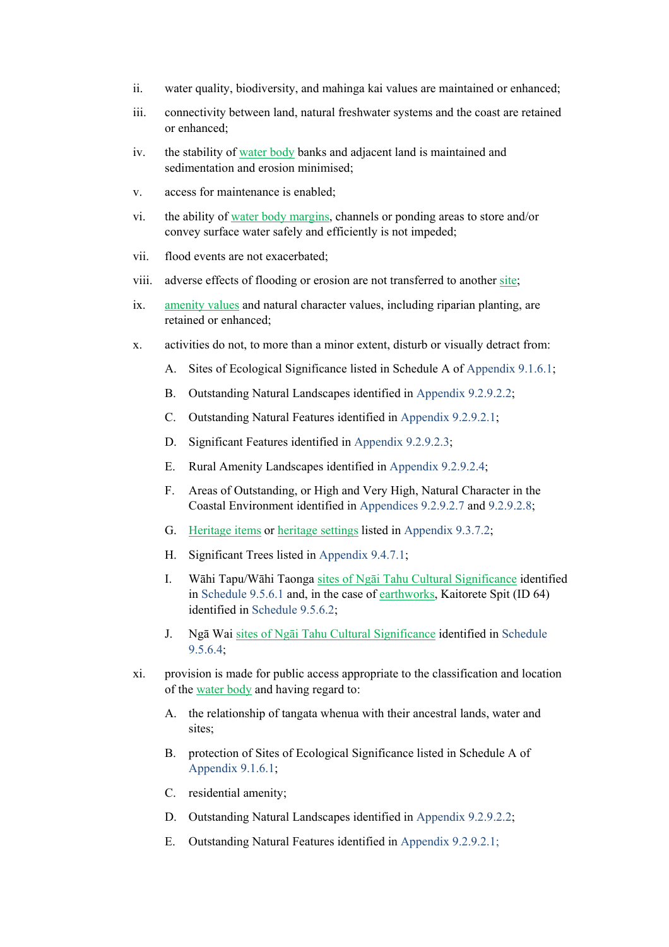- ii. water quality, biodiversity, and mahinga kai values are maintained or enhanced;
- iii. connectivity between land, natural freshwater systems and the coast are retained or enhanced;
- iv. the stability of water body banks and adjacent land is maintained and sedimentation and erosion minimised;
- v. access for maintenance is enabled;
- vi. the ability of water body margins, channels or ponding areas to store and/or convey surface water safely and efficiently is not impeded;
- vii. flood events are not exacerbated;
- viii. adverse effects of flooding or erosion are not transferred to another site;
- ix. amenity values and natural character values, including riparian planting, are retained or enhanced;
- x. activities do not, to more than a minor extent, disturb or visually detract from:
	- A. Sites of Ecological Significance listed in Schedule A of Appendix 9.1.6.1;
	- B. Outstanding Natural Landscapes identified in Appendix 9.2.9.2.2;
	- C. Outstanding Natural Features identified in Appendix 9.2.9.2.1;
	- D. Significant Features identified in Appendix 9.2.9.2.3;
	- E. Rural Amenity Landscapes identified in Appendix 9.2.9.2.4;
	- F. Areas of Outstanding, or High and Very High, Natural Character in the Coastal Environment identified in Appendices 9.2.9.2.7 and 9.2.9.2.8;
	- G. Heritage items or heritage settings listed in Appendix 9.3.7.2;
	- H. Significant Trees listed in Appendix 9.4.7.1;
	- I. Wāhi Tapu/Wāhi Taonga sites of Ngāi Tahu Cultural Significance identified in Schedule 9.5.6.1 and, in the case of earthworks, Kaitorete Spit (ID 64) identified in Schedule 9.5.6.2;
	- J. Ngā Wai sites of Ngāi Tahu Cultural Significance identified in Schedule 9.5.6.4;
- xi. provision is made for public access appropriate to the classification and location of the water body and having regard to:
	- A. the relationship of tangata whenua with their ancestral lands, water and sites;
	- B. protection of Sites of Ecological Significance listed in Schedule A of Appendix 9.1.6.1;
	- C. residential amenity;
	- D. Outstanding Natural Landscapes identified in Appendix 9.2.9.2.2;
	- E. Outstanding Natural Features identified in Appendix 9.2.9.2.1;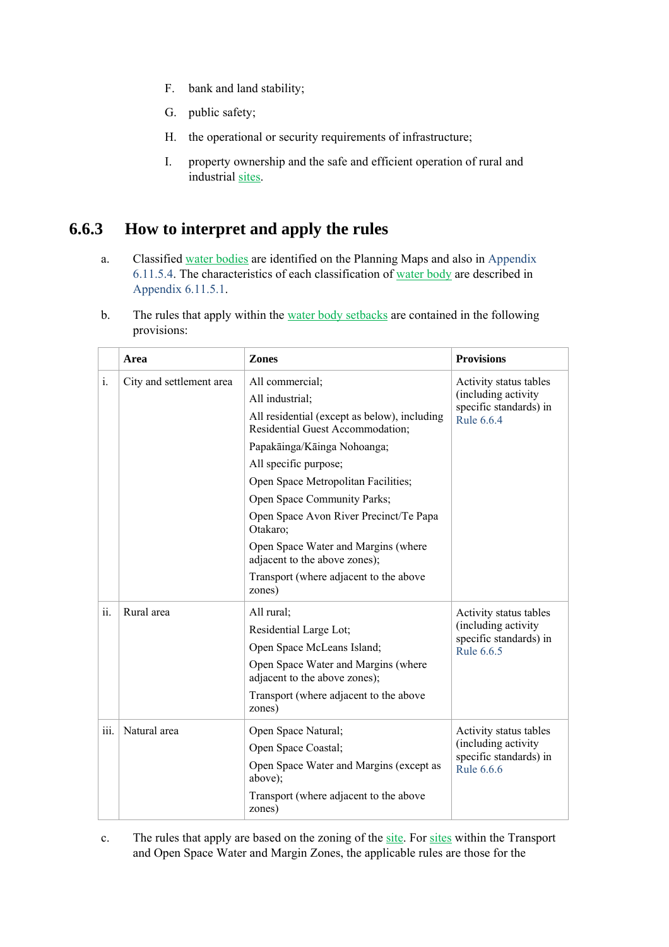- F. bank and land stability;
- G. public safety;
- H. the operational or security requirements of infrastructure;
- I. property ownership and the safe and efficient operation of rural and industrial sites.

## **6.6.3 How to interpret and apply the rules**

- a. Classified water bodies are identified on the Planning Maps and also in Appendix 6.11.5.4. The characteristics of each classification of water body are described in Appendix 6.11.5.1.
- b. The rules that apply within the water body setbacks are contained in the following provisions:

|                | Area                     | <b>Zones</b>                                                                     | <b>Provisions</b>                             |  |
|----------------|--------------------------|----------------------------------------------------------------------------------|-----------------------------------------------|--|
| $\mathbf{i}$ . | City and settlement area | All commercial;                                                                  | Activity status tables                        |  |
|                |                          | All industrial;                                                                  | (including activity                           |  |
|                |                          | All residential (except as below), including<br>Residential Guest Accommodation; | specific standards) in<br>Rule 6.6.4          |  |
|                |                          | Papakāinga/Kāinga Nohoanga;                                                      |                                               |  |
|                |                          | All specific purpose;                                                            |                                               |  |
|                |                          | Open Space Metropolitan Facilities;                                              |                                               |  |
|                |                          | Open Space Community Parks;                                                      |                                               |  |
|                |                          | Open Space Avon River Precinct/Te Papa<br>Otakaro;                               |                                               |  |
|                |                          | Open Space Water and Margins (where<br>adjacent to the above zones);             |                                               |  |
|                |                          | Transport (where adjacent to the above<br>zones)                                 |                                               |  |
| ii.            | Rural area               | All rural;                                                                       | Activity status tables                        |  |
|                |                          | Residential Large Lot;                                                           | (including activity<br>specific standards) in |  |
|                |                          | Open Space McLeans Island;                                                       |                                               |  |
|                |                          | Open Space Water and Margins (where<br>adjacent to the above zones);             |                                               |  |
|                |                          | Transport (where adjacent to the above<br>zones)                                 |                                               |  |
| 111.           | Natural area             | Open Space Natural;                                                              | Activity status tables                        |  |
|                |                          | Open Space Coastal;                                                              | (including activity                           |  |
|                |                          | Open Space Water and Margins (except as<br>above);                               | specific standards) in<br>Rule 6.6.6          |  |
|                |                          | Transport (where adjacent to the above<br>zones)                                 |                                               |  |

c. The rules that apply are based on the zoning of the site. For sites within the Transport and Open Space Water and Margin Zones, the applicable rules are those for the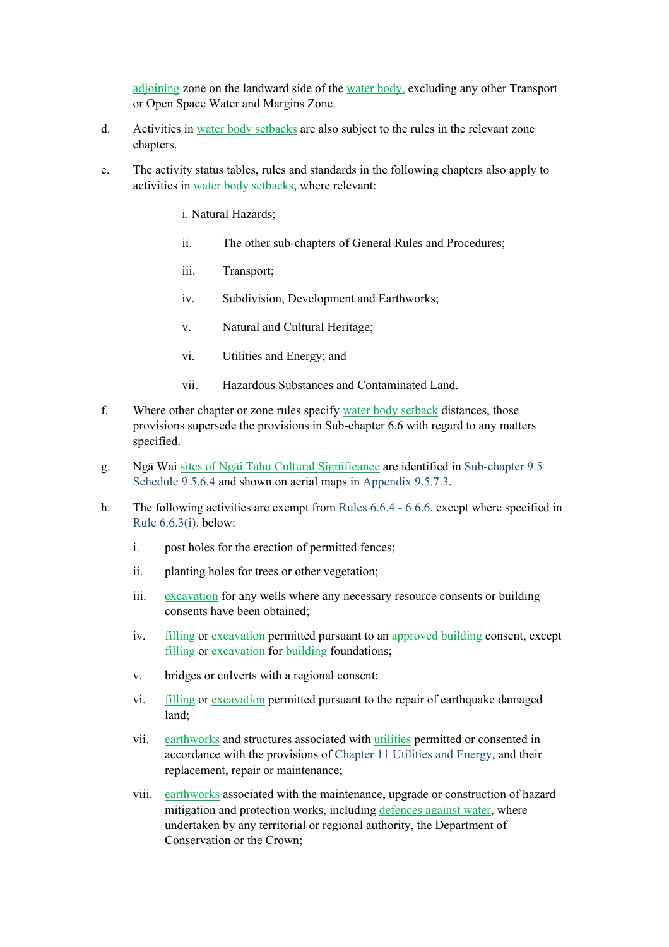adjoining zone on the landward side of the water body, excluding any other Transport or Open Space Water and Margins Zone.

- d. Activities in water body setbacks are also subject to the rules in the relevant zone chapters.
- e. The activity status tables, rules and standards in the following chapters also apply to activities in water body setbacks, where relevant:
	- i. Natural Hazards;
	- ii. The other sub-chapters of General Rules and Procedures;
	- iii. Transport;
	- iv. Subdivision, Development and Earthworks;
	- v. Natural and Cultural Heritage;
	- vi. Utilities and Energy; and
	- vii. Hazardous Substances and Contaminated Land.
- f. Where other chapter or zone rules specify water body setback distances, those provisions supersede the provisions in Sub-chapter 6.6 with regard to any matters specified.
- g. Ngā Wai sites of Ngāi Tahu Cultural Significance are identified in Sub-chapter 9.5 Schedule 9.5.6.4 and shown on aerial maps in Appendix 9.5.7.3.
- h. The following activities are exempt from Rules 6.6.4 6.6.6, except where specified in Rule 6.6.3(i). below:
	- i. post holes for the erection of permitted fences;
	- ii. planting holes for trees or other vegetation;
	- iii. excavation for any wells where any necessary resource consents or building consents have been obtained;
	- iv. filling or excavation permitted pursuant to an approved building consent, except filling or excavation for building foundations;
	- v. bridges or culverts with a regional consent;
	- vi. filling or excavation permitted pursuant to the repair of earthquake damaged land;
	- vii. earthworks and structures associated with utilities permitted or consented in accordance with the provisions of Chapter 11 Utilities and Energy, and their replacement, repair or maintenance;
	- viii. earthworks associated with the maintenance, upgrade or construction of hazard mitigation and protection works, including defences against water, where undertaken by any territorial or regional authority, the Department of Conservation or the Crown;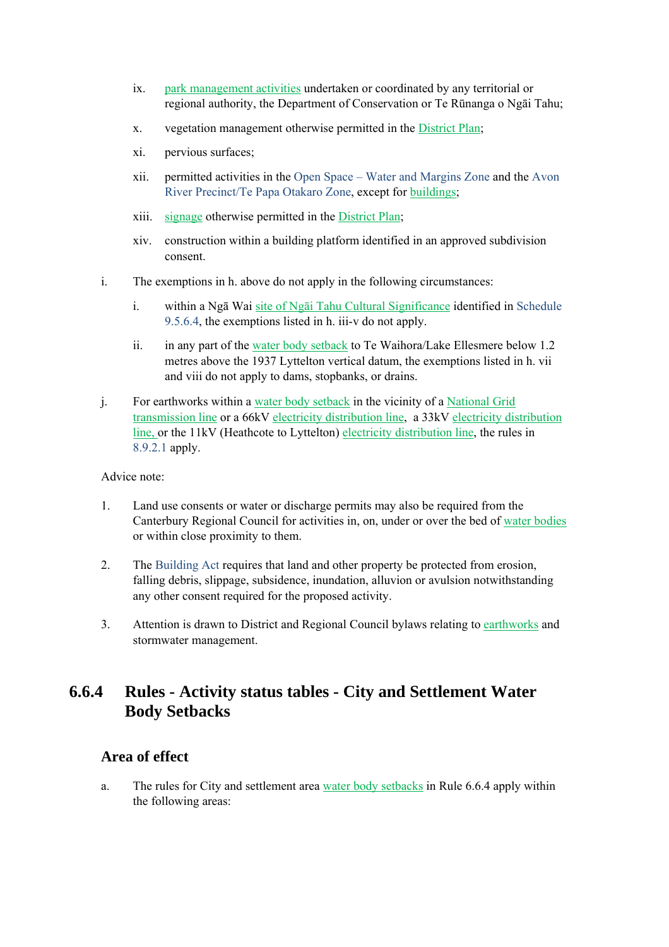- ix. park management activities undertaken or coordinated by any territorial or regional authority, the Department of Conservation or Te Rūnanga o Ngāi Tahu;
- x. vegetation management otherwise permitted in the District Plan;
- xi. pervious surfaces;
- xii. permitted activities in the Open Space Water and Margins Zone and the Avon River Precinct/Te Papa Otakaro Zone, except for buildings;
- xiii. signage otherwise permitted in the District Plan;
- xiv. construction within a building platform identified in an approved subdivision consent.
- i. The exemptions in h. above do not apply in the following circumstances:
	- i. within a Ngā Wai site of Ngāi Tahu Cultural Significance identified in Schedule 9.5.6.4, the exemptions listed in h. iii-v do not apply.
	- ii. in any part of the water body setback to Te Waihora/Lake Ellesmere below 1.2 metres above the 1937 Lyttelton vertical datum, the exemptions listed in h. vii and viii do not apply to dams, stopbanks, or drains.
- j. For earthworks within a water body setback in the vicinity of a National Grid transmission line or a 66kV electricity distribution line, a 33kV electricity distribution line, or the 11kV (Heathcote to Lyttelton) electricity distribution line, the rules in 8.9.2.1 apply.

Advice note:

- 1. Land use consents or water or discharge permits may also be required from the Canterbury Regional Council for activities in, on, under or over the bed of water bodies or within close proximity to them.
- 2. The Building Act requires that land and other property be protected from erosion, falling debris, slippage, subsidence, inundation, alluvion or avulsion notwithstanding any other consent required for the proposed activity.
- 3. Attention is drawn to District and Regional Council bylaws relating to earthworks and stormwater management.

# **6.6.4 Rules - Activity status tables - City and Settlement Water Body Setbacks**

#### **Area of effect**

a. The rules for City and settlement area water body setbacks in Rule 6.6.4 apply within the following areas: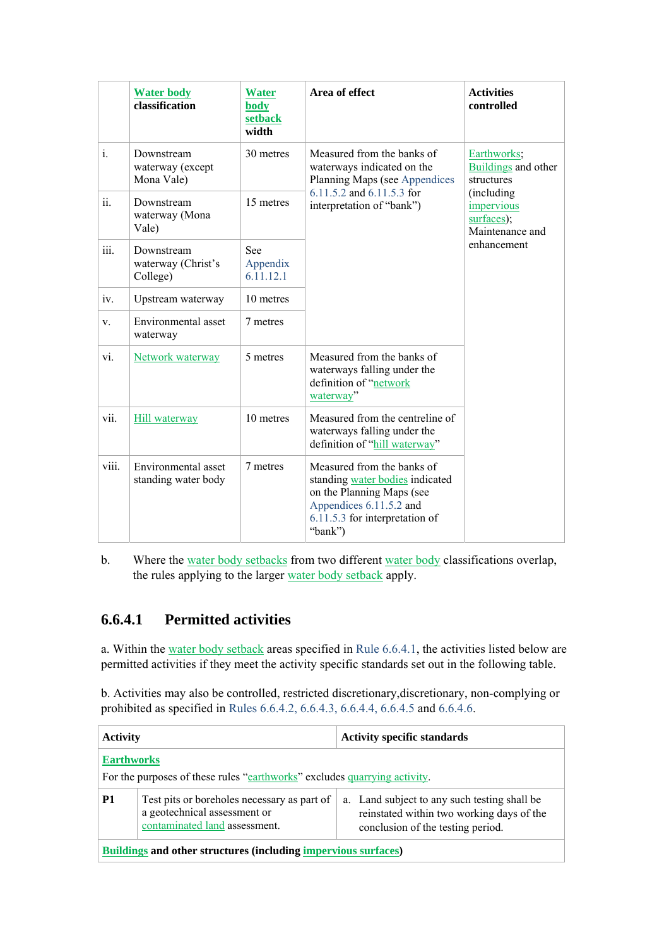|                | <b>Water body</b><br>classification          | <b>Water</b><br>body<br>setback<br>width | Area of effect                                                                                                                                                     | <b>Activities</b><br>controlled                  |
|----------------|----------------------------------------------|------------------------------------------|--------------------------------------------------------------------------------------------------------------------------------------------------------------------|--------------------------------------------------|
| $\mathbf{i}$ . | Downstream<br>waterway (except<br>Mona Vale) | 30 metres                                | Measured from the banks of<br>waterways indicated on the<br>Planning Maps (see Appendices<br>6.11.5.2 and 6.11.5.3 for<br>interpretation of "bank")                | Earthworks;<br>Buildings and other<br>structures |
| ii.            | Downstream<br>waterway (Mona<br>Vale)        | 15 metres                                |                                                                                                                                                                    | (including)<br>impervious<br>surfaces);          |
| iii.           | Downstream<br>waterway (Christ's<br>College) | See<br>Appendix<br>6.11.12.1             |                                                                                                                                                                    | enhancement                                      |
| iv.            | Upstream waterway                            | 10 metres                                |                                                                                                                                                                    |                                                  |
| V.             | Environmental asset<br>waterway              | 7 metres                                 |                                                                                                                                                                    |                                                  |
| vi.            | Network waterway                             | 5 metres                                 | Measured from the banks of<br>waterways falling under the<br>definition of "network<br>waterway"                                                                   |                                                  |
| vii.           | Hill waterway                                | 10 metres                                | Measured from the centreline of<br>waterways falling under the<br>definition of "hill waterway"                                                                    |                                                  |
| viii.          | Environmental asset<br>standing water body   | 7 metres                                 | Measured from the banks of<br>standing water bodies indicated<br>on the Planning Maps (see<br>Appendices 6.11.5.2 and<br>6.11.5.3 for interpretation of<br>"bank") |                                                  |

b. Where the water body setbacks from two different water body classifications overlap, the rules applying to the larger water body setback apply.

## **6.6.4.1 Permitted activities**

a. Within the water body setback areas specified in Rule 6.6.4.1, the activities listed below are permitted activities if they meet the activity specific standards set out in the following table.

b. Activities may also be controlled, restricted discretionary,discretionary, non-complying or prohibited as specified in Rules 6.6.4.2, 6.6.4.3, 6.6.4.4, 6.6.4.5 and 6.6.4.6.

| <b>Activity</b>                                                                                                                                                |  | <b>Activity specific standards</b>                                                        |  |
|----------------------------------------------------------------------------------------------------------------------------------------------------------------|--|-------------------------------------------------------------------------------------------|--|
| <b>Earthworks</b><br>For the purposes of these rules "earthworks" excludes quarrying activity.                                                                 |  |                                                                                           |  |
| <b>P1</b><br>Test pits or boreholes necessary as part of<br>a geotechnical assessment or<br>contaminated land assessment.<br>conclusion of the testing period. |  | a. Land subject to any such testing shall be<br>reinstated within two working days of the |  |
| <b>Buildings and other structures (including impervious surfaces)</b>                                                                                          |  |                                                                                           |  |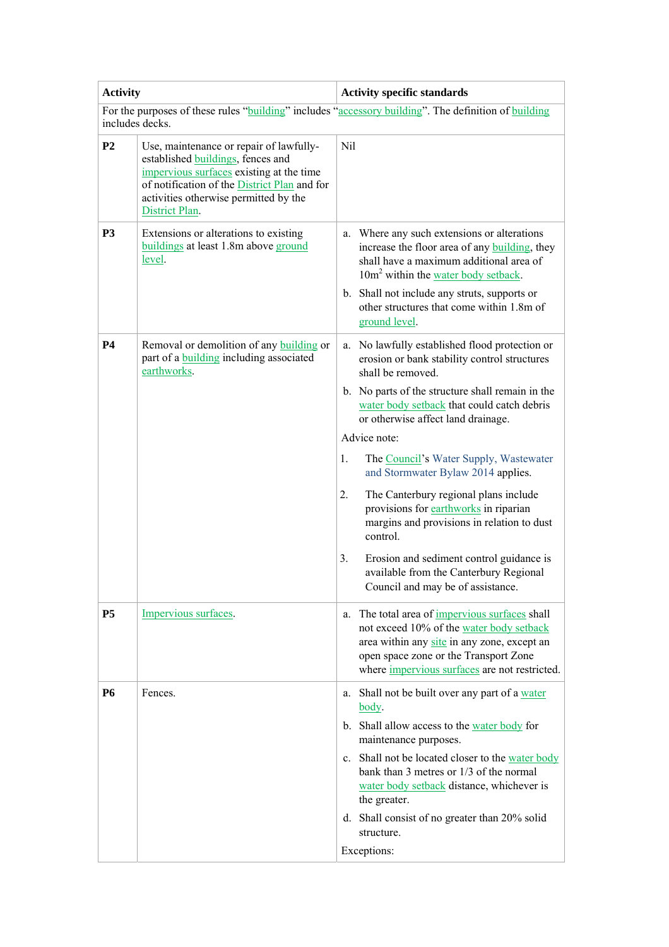| <b>Activity</b> |                                                                                                                                                                                                                                     | <b>Activity specific standards</b>                                                                                                                                                                                                                                                                                                                                           |  |  |  |
|-----------------|-------------------------------------------------------------------------------------------------------------------------------------------------------------------------------------------------------------------------------------|------------------------------------------------------------------------------------------------------------------------------------------------------------------------------------------------------------------------------------------------------------------------------------------------------------------------------------------------------------------------------|--|--|--|
| includes decks. |                                                                                                                                                                                                                                     | For the purposes of these rules "building" includes "accessory building". The definition of building                                                                                                                                                                                                                                                                         |  |  |  |
| P <sub>2</sub>  | Use, maintenance or repair of lawfully-<br>established buildings, fences and<br>impervious surfaces existing at the time<br>of notification of the District Plan and for<br>activities otherwise permitted by the<br>District Plan. | Nil                                                                                                                                                                                                                                                                                                                                                                          |  |  |  |
| <b>P3</b>       | Extensions or alterations to existing<br>buildings at least 1.8m above ground<br>level.                                                                                                                                             | Where any such extensions or alterations<br>a.<br>increase the floor area of any <b>building</b> , they<br>shall have a maximum additional area of<br>10m <sup>2</sup> within the water body setback.<br>b. Shall not include any struts, supports or<br>other structures that come within 1.8m of<br>ground level.                                                          |  |  |  |
| <b>P4</b>       | Removal or demolition of any building or<br>part of a <b>building</b> including associated<br>earthworks.                                                                                                                           | No lawfully established flood protection or<br>a.<br>erosion or bank stability control structures<br>shall be removed.                                                                                                                                                                                                                                                       |  |  |  |
|                 |                                                                                                                                                                                                                                     | b. No parts of the structure shall remain in the<br>water body setback that could catch debris<br>or otherwise affect land drainage.                                                                                                                                                                                                                                         |  |  |  |
|                 |                                                                                                                                                                                                                                     | Advice note:                                                                                                                                                                                                                                                                                                                                                                 |  |  |  |
|                 |                                                                                                                                                                                                                                     | 1.<br>The Council's Water Supply, Wastewater<br>and Stormwater Bylaw 2014 applies.                                                                                                                                                                                                                                                                                           |  |  |  |
|                 |                                                                                                                                                                                                                                     | 2.<br>The Canterbury regional plans include<br>provisions for earthworks in riparian<br>margins and provisions in relation to dust<br>control.                                                                                                                                                                                                                               |  |  |  |
|                 |                                                                                                                                                                                                                                     | 3.<br>Erosion and sediment control guidance is<br>available from the Canterbury Regional<br>Council and may be of assistance.                                                                                                                                                                                                                                                |  |  |  |
| <b>P5</b>       | Impervious surfaces.                                                                                                                                                                                                                | The total area of <i>impervious surfaces</i> shall<br>a.<br>not exceed 10% of the water body setback<br>area within any site in any zone, except an<br>open space zone or the Transport Zone<br>where <i>impervious</i> surfaces are not restricted.                                                                                                                         |  |  |  |
| <b>P6</b>       | Fences.                                                                                                                                                                                                                             | Shall not be built over any part of a water<br>a.<br>body.<br>b. Shall allow access to the water body for<br>maintenance purposes.<br>c. Shall not be located closer to the water body<br>bank than 3 metres or 1/3 of the normal<br>water body setback distance, whichever is<br>the greater.<br>d. Shall consist of no greater than 20% solid<br>structure.<br>Exceptions: |  |  |  |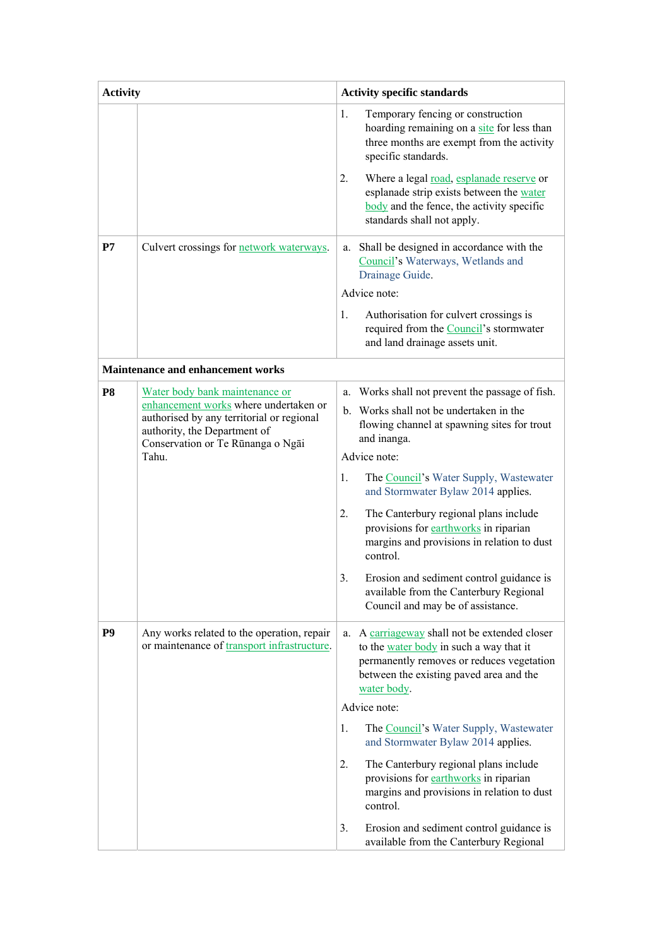| <b>Activity</b> |                                                                                                                                                                                                    | <b>Activity specific standards</b>                                                                                                                                                                 |  |  |
|-----------------|----------------------------------------------------------------------------------------------------------------------------------------------------------------------------------------------------|----------------------------------------------------------------------------------------------------------------------------------------------------------------------------------------------------|--|--|
|                 |                                                                                                                                                                                                    | 1.<br>Temporary fencing or construction<br>hoarding remaining on a site for less than<br>three months are exempt from the activity<br>specific standards.                                          |  |  |
|                 |                                                                                                                                                                                                    | 2.<br>Where a legal road, esplanade reserve or<br>esplanade strip exists between the water<br>body and the fence, the activity specific<br>standards shall not apply.                              |  |  |
| P7              | Culvert crossings for <b>network</b> waterways.                                                                                                                                                    | Shall be designed in accordance with the<br>a.<br>Council's Waterways, Wetlands and<br>Drainage Guide.                                                                                             |  |  |
|                 |                                                                                                                                                                                                    | Advice note:                                                                                                                                                                                       |  |  |
|                 |                                                                                                                                                                                                    | 1.<br>Authorisation for culvert crossings is<br>required from the Council's stormwater<br>and land drainage assets unit.                                                                           |  |  |
|                 | Maintenance and enhancement works                                                                                                                                                                  |                                                                                                                                                                                                    |  |  |
| P <sub>8</sub>  | Water body bank maintenance or<br>enhancement works where undertaken or<br>authorised by any territorial or regional<br>authority, the Department of<br>Conservation or Te Rūnanga o Ngāi<br>Tahu. | Works shall not prevent the passage of fish.<br>a.                                                                                                                                                 |  |  |
|                 |                                                                                                                                                                                                    | b. Works shall not be undertaken in the<br>flowing channel at spawning sites for trout<br>and inanga.                                                                                              |  |  |
|                 |                                                                                                                                                                                                    | Advice note:                                                                                                                                                                                       |  |  |
|                 |                                                                                                                                                                                                    | 1.<br>The Council's Water Supply, Wastewater<br>and Stormwater Bylaw 2014 applies.                                                                                                                 |  |  |
|                 |                                                                                                                                                                                                    | 2.<br>The Canterbury regional plans include<br>provisions for earthworks in riparian<br>margins and provisions in relation to dust<br>control.                                                     |  |  |
|                 |                                                                                                                                                                                                    | 3.<br>Erosion and sediment control guidance is<br>available from the Canterbury Regional<br>Council and may be of assistance.                                                                      |  |  |
| P <sub>9</sub>  | Any works related to the operation, repair<br>or maintenance of transport infrastructure.                                                                                                          | A carriageway shall not be extended closer<br>a.<br>to the water body in such a way that it<br>permanently removes or reduces vegetation<br>between the existing paved area and the<br>water body. |  |  |
|                 |                                                                                                                                                                                                    | Advice note:                                                                                                                                                                                       |  |  |
|                 |                                                                                                                                                                                                    | 1.<br>The Council's Water Supply, Wastewater<br>and Stormwater Bylaw 2014 applies.                                                                                                                 |  |  |
|                 |                                                                                                                                                                                                    | The Canterbury regional plans include<br>2.<br>provisions for earthworks in riparian<br>margins and provisions in relation to dust<br>control.                                                     |  |  |
|                 |                                                                                                                                                                                                    | 3.<br>Erosion and sediment control guidance is<br>available from the Canterbury Regional                                                                                                           |  |  |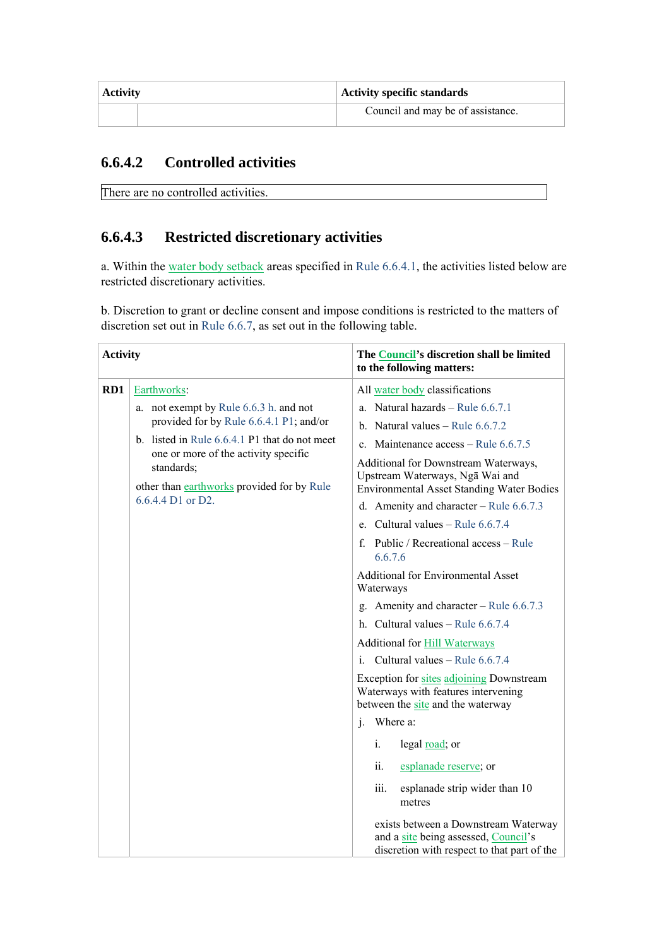| <b>Activity</b> | Activity specific standards       |  |  |
|-----------------|-----------------------------------|--|--|
|                 | Council and may be of assistance. |  |  |

## **6.6.4.2 Controlled activities**

```
There are no controlled activities.
```
# **6.6.4.3 Restricted discretionary activities**

a. Within the water body setback areas specified in Rule 6.6.4.1, the activities listed below are restricted discretionary activities.

b. Discretion to grant or decline consent and impose conditions is restricted to the matters of discretion set out in Rule 6.6.7, as set out in the following table.

| <b>Activity</b> |                                                                                                                                                                                                                     | The Council's discretion shall be limited<br>to the following matters:                                                      |  |  |
|-----------------|---------------------------------------------------------------------------------------------------------------------------------------------------------------------------------------------------------------------|-----------------------------------------------------------------------------------------------------------------------------|--|--|
| RD1             | Earthworks:                                                                                                                                                                                                         | All water body classifications                                                                                              |  |  |
|                 | a. not exempt by Rule 6.6.3 h. and not                                                                                                                                                                              | a. Natural hazards - Rule $6.6.7.1$                                                                                         |  |  |
|                 | provided for by Rule 6.6.4.1 P1; and/or<br>b. listed in Rule $6.6.4.1$ P1 that do not meet<br>one or more of the activity specific<br>standards;<br>other than earthworks provided for by Rule<br>6.6.4.4 D1 or D2. | b. Natural values $-$ Rule 6.6.7.2                                                                                          |  |  |
|                 |                                                                                                                                                                                                                     | c. Maintenance $access - Rule 6.6.7.5$                                                                                      |  |  |
|                 |                                                                                                                                                                                                                     | Additional for Downstream Waterways,<br>Upstream Waterways, Nga Wai and<br><b>Environmental Asset Standing Water Bodies</b> |  |  |
|                 |                                                                                                                                                                                                                     |                                                                                                                             |  |  |
|                 |                                                                                                                                                                                                                     | d. Amenity and character – Rule $6.6.7.3$                                                                                   |  |  |
|                 |                                                                                                                                                                                                                     | e. Cultural values – Rule $6.6.7.4$                                                                                         |  |  |
|                 |                                                                                                                                                                                                                     | f. Public / Recreational access – Rule<br>6.6.7.6                                                                           |  |  |
|                 |                                                                                                                                                                                                                     | <b>Additional for Environmental Asset</b><br>Waterways                                                                      |  |  |
|                 |                                                                                                                                                                                                                     | g. Amenity and character – Rule $6.6.7.3$                                                                                   |  |  |
|                 |                                                                                                                                                                                                                     | h. Cultural values - Rule $6.6.7.4$                                                                                         |  |  |
|                 |                                                                                                                                                                                                                     | <b>Additional for Hill Waterways</b>                                                                                        |  |  |
|                 |                                                                                                                                                                                                                     | Cultural values - Rule 6.6.7.4<br>$\mathbf{i}$                                                                              |  |  |
|                 |                                                                                                                                                                                                                     | Exception for sites adjoining Downstream<br>Waterways with features intervening<br>between the site and the waterway        |  |  |
|                 |                                                                                                                                                                                                                     | j. Where a:                                                                                                                 |  |  |
|                 |                                                                                                                                                                                                                     | legal road; or<br>i.                                                                                                        |  |  |
|                 |                                                                                                                                                                                                                     | ii.<br>esplanade reserve; or                                                                                                |  |  |
|                 |                                                                                                                                                                                                                     | iii.<br>esplanade strip wider than 10<br>metres                                                                             |  |  |
|                 |                                                                                                                                                                                                                     | exists between a Downstream Waterway<br>and a site being assessed, Council's<br>discretion with respect to that part of the |  |  |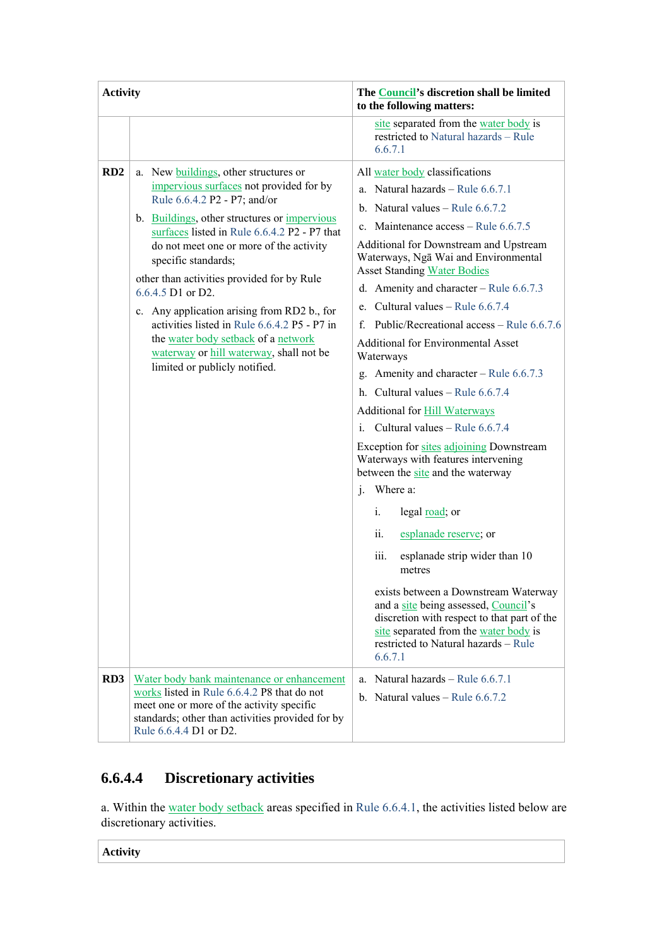| <b>Activity</b>        |                                                                                                                                                                                                                                                                                                                                                                                                                                                                                                                                                                                                                                 | The Council's discretion shall be limited<br>to the following matters:                                                                                                                                                                                                                                                                                                                                                                                                                                                                                                                                                                                                                                                                                                                                                                                                                                                                                                                                                                                                                                                                                                |
|------------------------|---------------------------------------------------------------------------------------------------------------------------------------------------------------------------------------------------------------------------------------------------------------------------------------------------------------------------------------------------------------------------------------------------------------------------------------------------------------------------------------------------------------------------------------------------------------------------------------------------------------------------------|-----------------------------------------------------------------------------------------------------------------------------------------------------------------------------------------------------------------------------------------------------------------------------------------------------------------------------------------------------------------------------------------------------------------------------------------------------------------------------------------------------------------------------------------------------------------------------------------------------------------------------------------------------------------------------------------------------------------------------------------------------------------------------------------------------------------------------------------------------------------------------------------------------------------------------------------------------------------------------------------------------------------------------------------------------------------------------------------------------------------------------------------------------------------------|
|                        |                                                                                                                                                                                                                                                                                                                                                                                                                                                                                                                                                                                                                                 | site separated from the water body is<br>restricted to Natural hazards - Rule<br>6.6.7.1                                                                                                                                                                                                                                                                                                                                                                                                                                                                                                                                                                                                                                                                                                                                                                                                                                                                                                                                                                                                                                                                              |
| RD2<br>RD <sub>3</sub> | a. New <b>buildings</b> , other structures or<br>impervious surfaces not provided for by<br>Rule 6.6.4.2 P2 - P7; and/or<br>b. Buildings, other structures or impervious<br>surfaces listed in Rule 6.6.4.2 P2 - P7 that<br>do not meet one or more of the activity<br>specific standards;<br>other than activities provided for by Rule<br>$6.6.4.5$ D1 or D2.<br>c. Any application arising from RD2 b., for<br>activities listed in Rule 6.6.4.2 P5 - P7 in<br>the water body setback of a network<br>waterway or hill waterway, shall not be<br>limited or publicly notified.<br>Water body bank maintenance or enhancement | All water body classifications<br>a. Natural hazards - Rule $6.6.7.1$<br>b. Natural values – Rule $6.6.7.2$<br>c. Maintenance $access - Rule 6.6.7.5$<br>Additional for Downstream and Upstream<br>Waterways, Ngā Wai and Environmental<br><b>Asset Standing Water Bodies</b><br>d. Amenity and character – Rule $6.6.7.3$<br>e. Cultural values – Rule $6.6.7.4$<br>Public/Recreational access – Rule 6.6.7.6<br>f.<br><b>Additional for Environmental Asset</b><br>Waterways<br>g. Amenity and character – Rule $6.6.7.3$<br>h. Cultural values - Rule 6.6.7.4<br><b>Additional for Hill Waterways</b><br>Cultural values - Rule 6.6.7.4<br>i.<br>Exception for sites adjoining Downstream<br>Waterways with features intervening<br>between the site and the waterway<br>j. Where a:<br>legal road; or<br>i.<br>ii.<br>esplanade reserve; or<br>esplanade strip wider than 10<br>iii.<br>metres<br>exists between a Downstream Waterway<br>and a site being assessed, Council's<br>discretion with respect to that part of the<br>site separated from the water body is<br>restricted to Natural hazards - Rule<br>6.6.7.1<br>Natural hazards – Rule 6.6.7.1<br>a. |
|                        | works listed in Rule 6.6.4.2 P8 that do not<br>meet one or more of the activity specific<br>standards; other than activities provided for by<br>Rule 6.6.4.4 D1 or D2.                                                                                                                                                                                                                                                                                                                                                                                                                                                          | b. Natural values – Rule $6.6.7.2$                                                                                                                                                                                                                                                                                                                                                                                                                                                                                                                                                                                                                                                                                                                                                                                                                                                                                                                                                                                                                                                                                                                                    |

# **6.6.4.4 Discretionary activities**

a. Within the water body setback areas specified in Rule 6.6.4.1, the activities listed below are discretionary activities.

**Activity**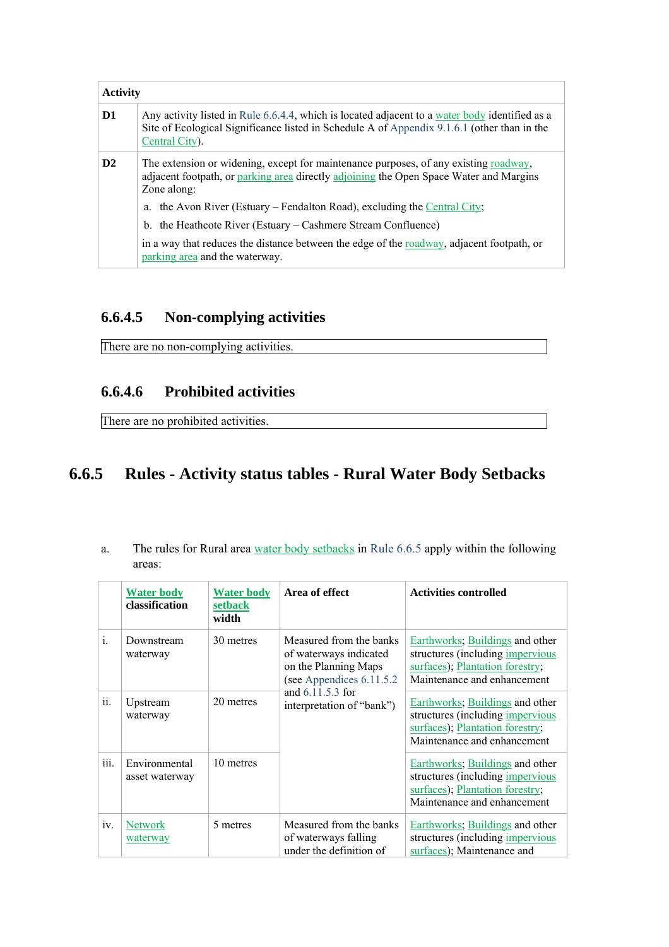| <b>Activity</b> |                                                                                                                                                                                                                 |  |
|-----------------|-----------------------------------------------------------------------------------------------------------------------------------------------------------------------------------------------------------------|--|
| D <sub>1</sub>  | Any activity listed in Rule 6.6.4.4, which is located adjacent to a water body identified as a<br>Site of Ecological Significance listed in Schedule A of Appendix 9.1.6.1 (other than in the<br>Central City). |  |
| $\mathbf{D}2$   | The extension or widening, except for maintenance purposes, of any existing <u>roadway</u> ,<br>adjacent footpath, or parking area directly adjoining the Open Space Water and Margins<br>Zone along:           |  |
|                 | a. the Avon River (Estuary – Fendalton Road), excluding the Central City;                                                                                                                                       |  |
|                 | b. the Heathcote River (Estuary – Cashmere Stream Confluence)                                                                                                                                                   |  |
|                 | in a way that reduces the distance between the edge of the <u>roadway</u> , adjacent footpath, or<br>parking area and the waterway.                                                                             |  |

# **6.6.4.5 Non-complying activities**

There are no non-complying activities.

# **6.6.4.6 Prohibited activities**

There are no prohibited activities.

# **6.6.5 Rules - Activity status tables - Rural Water Body Setbacks**

| The rules for Rural area water body setbacks in Rule 6.6.5 apply within the following |  |  |  |
|---------------------------------------------------------------------------------------|--|--|--|
| areas:                                                                                |  |  |  |

|      | <b>Water body</b><br>classification | <b>Water body</b><br>setback<br>width | Area of effect                                                                                                                                          | <b>Activities controlled</b>                                                                                                                 |
|------|-------------------------------------|---------------------------------------|---------------------------------------------------------------------------------------------------------------------------------------------------------|----------------------------------------------------------------------------------------------------------------------------------------------|
| i.   | Downstream<br>waterway              | 30 metres                             | Measured from the banks<br>of waterways indicated<br>on the Planning Maps<br>(see Appendices 6.11.5.2)<br>and 6.11.5.3 for<br>interpretation of "bank") | Earthworks; Buildings and other<br>structures (including <i>impervious</i><br>surfaces); Plantation forestry;<br>Maintenance and enhancement |
| ii.  | Upstream<br>waterway                | 20 metres                             |                                                                                                                                                         | Earthworks; Buildings and other<br>structures (including <i>impervious</i><br>surfaces); Plantation forestry;<br>Maintenance and enhancement |
| iii. | Environmental<br>asset waterway     | 10 metres                             |                                                                                                                                                         | Earthworks; Buildings and other<br>structures (including impervious<br>surfaces); Plantation forestry;<br>Maintenance and enhancement        |
| iv.  | <b>Network</b><br>waterway          | 5 metres                              | Measured from the banks<br>of waterways falling<br>under the definition of                                                                              | Earthworks; Buildings and other<br>structures (including <i>impervious</i><br>surfaces); Maintenance and                                     |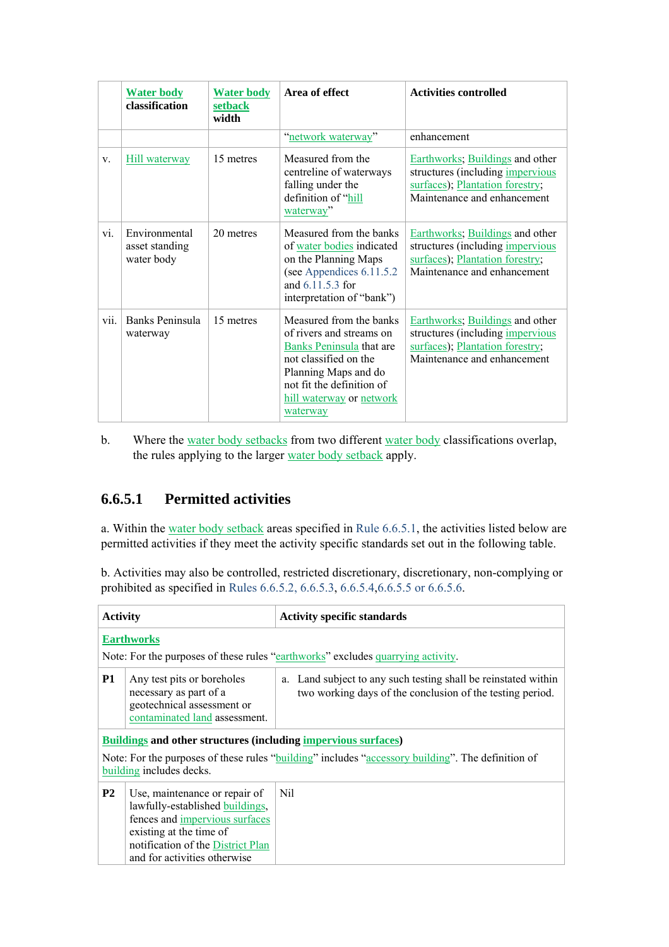|      | <b>Water body</b><br>classification           | <b>Water body</b><br><b>setback</b><br>width | Area of effect                                                                                                                                                                                                      | <b>Activities controlled</b>                                                                                                                 |
|------|-----------------------------------------------|----------------------------------------------|---------------------------------------------------------------------------------------------------------------------------------------------------------------------------------------------------------------------|----------------------------------------------------------------------------------------------------------------------------------------------|
|      |                                               |                                              | "network waterway"                                                                                                                                                                                                  | enhancement                                                                                                                                  |
| V.   | <b>Hill waterway</b>                          | 15 metres                                    | Measured from the<br>centreline of waterways<br>falling under the<br>definition of "hill<br>waterway"                                                                                                               | Earthworks; Buildings and other<br>structures (including <i>impervious</i><br>surfaces); Plantation forestry;<br>Maintenance and enhancement |
| vi.  | Environmental<br>asset standing<br>water body | 20 metres                                    | Measured from the banks<br>of water bodies indicated<br>on the Planning Maps<br>(see Appendices 6.11.5.2)<br>and 6.11.5.3 for<br>interpretation of "bank")                                                          | Earthworks; Buildings and other<br>structures (including <i>impervious</i><br>surfaces); Plantation forestry;<br>Maintenance and enhancement |
| vii. | Banks Peninsula<br>waterway                   | 15 metres                                    | Measured from the banks<br>of rivers and streams on<br>Banks Peninsula that are<br>not classified on the<br>Planning Maps and do<br>not fit the definition of<br><u>hill waterway</u> or <u>network</u><br>waterway | Earthworks; Buildings and other<br>structures (including <i>impervious</i><br>surfaces); Plantation forestry;<br>Maintenance and enhancement |

b. Where the water body setbacks from two different water body classifications overlap, the rules applying to the larger water body setback apply.

## **6.6.5.1 Permitted activities**

a. Within the water body setback areas specified in Rule 6.6.5.1, the activities listed below are permitted activities if they meet the activity specific standards set out in the following table.

b. Activities may also be controlled, restricted discretionary, discretionary, non-complying or prohibited as specified in Rules 6.6.5.2, 6.6.5.3, 6.6.5.4,6.6.5.5 or 6.6.5.6.

| <b>Activity</b>                                                                                                                  |                                                                                                                                                                                                    | <b>Activity specific standards</b>                                                                                          |  |
|----------------------------------------------------------------------------------------------------------------------------------|----------------------------------------------------------------------------------------------------------------------------------------------------------------------------------------------------|-----------------------------------------------------------------------------------------------------------------------------|--|
|                                                                                                                                  | <b>Earthworks</b>                                                                                                                                                                                  |                                                                                                                             |  |
|                                                                                                                                  |                                                                                                                                                                                                    | Note: For the purposes of these rules "earthworks" excludes quarrying activity.                                             |  |
| <b>P1</b><br>Any test pits or boreholes<br>necessary as part of a<br>geotechnical assessment or<br>contaminated land assessment. |                                                                                                                                                                                                    | a. Land subject to any such testing shall be reinstated within<br>two working days of the conclusion of the testing period. |  |
|                                                                                                                                  | <b>Buildings and other structures (including impervious surfaces)</b>                                                                                                                              |                                                                                                                             |  |
|                                                                                                                                  | Note: For the purposes of these rules "building" includes "accessory building". The definition of<br>building includes decks.                                                                      |                                                                                                                             |  |
| <b>P2</b>                                                                                                                        | Use, maintenance or repair of<br>lawfully-established buildings,<br>fences and impervious surfaces<br>existing at the time of<br>notification of the District Plan<br>and for activities otherwise | Nil                                                                                                                         |  |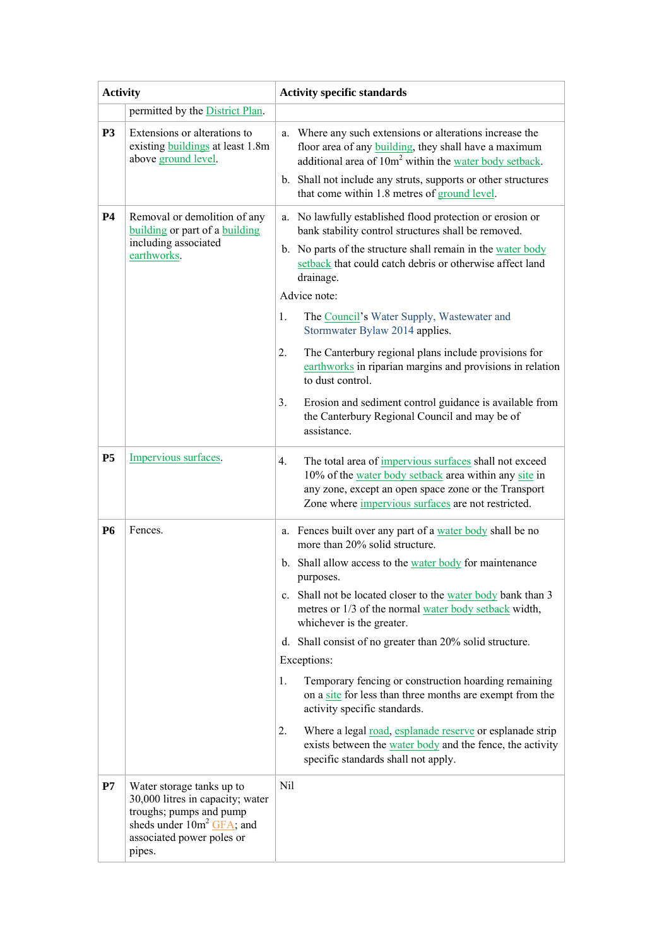| <b>Activity</b> |                                                                                                                                                                 | <b>Activity specific standards</b>                                                                                                                                                                                                                |
|-----------------|-----------------------------------------------------------------------------------------------------------------------------------------------------------------|---------------------------------------------------------------------------------------------------------------------------------------------------------------------------------------------------------------------------------------------------|
|                 | permitted by the District Plan.                                                                                                                                 |                                                                                                                                                                                                                                                   |
| P <sub>3</sub>  | Extensions or alterations to<br>existing <b>buildings</b> at least 1.8m<br>above ground level.                                                                  | Where any such extensions or alterations increase the<br>a.<br>floor area of any <b>building</b> , they shall have a maximum<br>additional area of 10m <sup>2</sup> within the water body setback.                                                |
|                 |                                                                                                                                                                 | b. Shall not include any struts, supports or other structures<br>that come within 1.8 metres of ground level.                                                                                                                                     |
| <b>P4</b>       | Removal or demolition of any<br>building or part of a building                                                                                                  | a. No lawfully established flood protection or erosion or<br>bank stability control structures shall be removed.                                                                                                                                  |
|                 | including associated<br>earthworks.                                                                                                                             | b. No parts of the structure shall remain in the water body<br>setback that could catch debris or otherwise affect land<br>drainage.                                                                                                              |
|                 |                                                                                                                                                                 | Advice note:                                                                                                                                                                                                                                      |
|                 |                                                                                                                                                                 | 1.<br>The Council's Water Supply, Wastewater and<br>Stormwater Bylaw 2014 applies.                                                                                                                                                                |
|                 |                                                                                                                                                                 | 2.<br>The Canterbury regional plans include provisions for<br>earthworks in riparian margins and provisions in relation<br>to dust control.                                                                                                       |
|                 |                                                                                                                                                                 | 3.<br>Erosion and sediment control guidance is available from<br>the Canterbury Regional Council and may be of<br>assistance.                                                                                                                     |
| <b>P5</b>       | Impervious surfaces.                                                                                                                                            | The total area of <i>impervious</i> surfaces shall not exceed<br>4.<br>10% of the water body setback area within any site in<br>any zone, except an open space zone or the Transport<br>Zone where <i>impervious</i> surfaces are not restricted. |
| <b>P6</b>       | Fences.                                                                                                                                                         | a. Fences built over any part of a water body shall be no<br>more than 20% solid structure.                                                                                                                                                       |
|                 |                                                                                                                                                                 | b. Shall allow access to the water body for maintenance<br>purposes.                                                                                                                                                                              |
|                 |                                                                                                                                                                 | c. Shall not be located closer to the water body bank than 3<br>metres or 1/3 of the normal water body setback width,<br>whichever is the greater.                                                                                                |
|                 |                                                                                                                                                                 | d. Shall consist of no greater than 20% solid structure.<br>Exceptions:                                                                                                                                                                           |
|                 |                                                                                                                                                                 | Temporary fencing or construction hoarding remaining<br>1.<br>on a site for less than three months are exempt from the<br>activity specific standards.                                                                                            |
|                 |                                                                                                                                                                 | 2.<br>Where a legal <u>road, esplanade reserve</u> or esplanade strip<br>exists between the water body and the fence, the activity<br>specific standards shall not apply.                                                                         |
| P7              | Water storage tanks up to<br>30,000 litres in capacity; water<br>troughs; pumps and pump<br>sheds under $10m^2$ GFA; and<br>associated power poles or<br>pipes. | Nil                                                                                                                                                                                                                                               |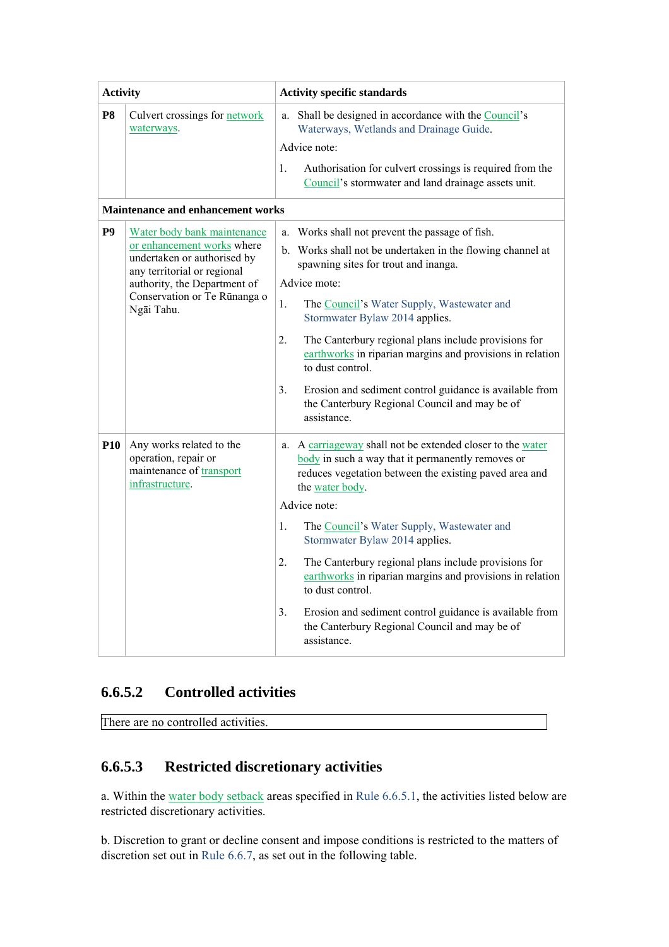| <b>Activity</b> |                                             | <b>Activity specific standards</b>                                                                               |
|-----------------|---------------------------------------------|------------------------------------------------------------------------------------------------------------------|
| P <sub>8</sub>  | Culvert crossings for network<br>waterways. | a. Shall be designed in accordance with the Council's<br>Waterways, Wetlands and Drainage Guide.<br>Advice note: |
|                 |                                             | Authorisation for culvert crossings is required from the<br>Council's stormwater and land drainage assets unit.  |

#### **Maintenance and enhancement works**

| P <sub>9</sub> | Water body bank maintenance<br>or enhancement works where<br>undertaken or authorised by<br>any territorial or regional<br>authority, the Department of<br>Conservation or Te Rūnanga o<br>Ngāi Tahu. | Works shall not prevent the passage of fish.<br>a.<br>b. Works shall not be undertaken in the flowing channel at<br>spawning sites for trout and inanga.<br>Advice mote:<br>1.<br>The Council's Water Supply, Wastewater and<br>Stormwater Bylaw 2014 applies.<br>The Canterbury regional plans include provisions for<br>2.<br>earthworks in riparian margins and provisions in relation<br>to dust control.<br>3.<br>Erosion and sediment control guidance is available from<br>the Canterbury Regional Council and may be of<br>assistance.                                     |
|----------------|-------------------------------------------------------------------------------------------------------------------------------------------------------------------------------------------------------|------------------------------------------------------------------------------------------------------------------------------------------------------------------------------------------------------------------------------------------------------------------------------------------------------------------------------------------------------------------------------------------------------------------------------------------------------------------------------------------------------------------------------------------------------------------------------------|
| <b>P10</b>     | Any works related to the<br>operation, repair or<br>maintenance of transport<br>infrastructure.                                                                                                       | a. A carriageway shall not be extended closer to the water<br>body in such a way that it permanently removes or<br>reduces vegetation between the existing paved area and<br>the water body.<br>Advice note:<br>The Council's Water Supply, Wastewater and<br>1.<br>Stormwater Bylaw 2014 applies.<br>The Canterbury regional plans include provisions for<br>2.<br>earthworks in riparian margins and provisions in relation<br>to dust control.<br>3.<br>Erosion and sediment control guidance is available from<br>the Canterbury Regional Council and may be of<br>assistance. |

## **6.6.5.2 Controlled activities**

There are no controlled activities.

## **6.6.5.3 Restricted discretionary activities**

a. Within the water body setback areas specified in Rule 6.6.5.1, the activities listed below are restricted discretionary activities.

b. Discretion to grant or decline consent and impose conditions is restricted to the matters of discretion set out in Rule 6.6.7, as set out in the following table.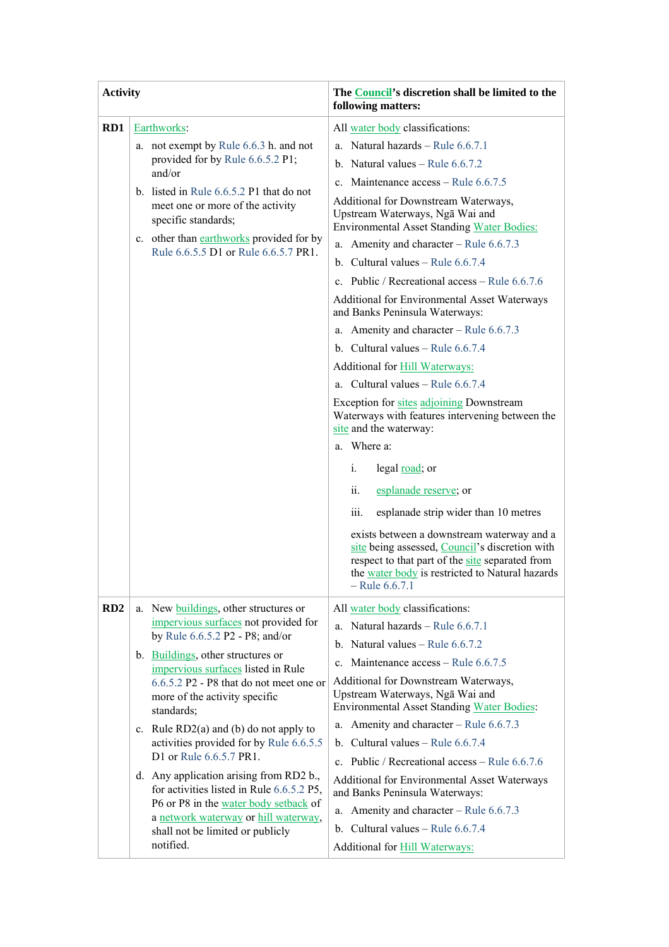| <b>Activity</b> |                                                                                                       | The Council's discretion shall be limited to the<br>following matters:                                                                                                                                                 |
|-----------------|-------------------------------------------------------------------------------------------------------|------------------------------------------------------------------------------------------------------------------------------------------------------------------------------------------------------------------------|
| RD1             | Earthworks:                                                                                           | All water body classifications:                                                                                                                                                                                        |
|                 | a. not exempt by Rule 6.6.3 h. and not                                                                | a. Natural hazards - Rule $6.6.7.1$                                                                                                                                                                                    |
|                 | provided for by Rule 6.6.5.2 P1;                                                                      | b. Natural values $-$ Rule 6.6.7.2                                                                                                                                                                                     |
|                 | and/or                                                                                                | c. Maintenance $access - Rule 6.6.7.5$                                                                                                                                                                                 |
|                 | b. listed in Rule $6.6.5.2$ P1 that do not<br>meet one or more of the activity<br>specific standards; | Additional for Downstream Waterways,<br>Upstream Waterways, Nga Wai and<br><b>Environmental Asset Standing Water Bodies:</b>                                                                                           |
|                 | c. other than earthworks provided for by<br>Rule 6.6.5.5 D1 or Rule 6.6.5.7 PR1.                      | a. Amenity and character – Rule $6.6.7.3$                                                                                                                                                                              |
|                 |                                                                                                       | b. Cultural values – Rule $6.6.7.4$                                                                                                                                                                                    |
|                 |                                                                                                       | c. Public / Recreational access – Rule $6.6.7.6$                                                                                                                                                                       |
|                 |                                                                                                       | <b>Additional for Environmental Asset Waterways</b><br>and Banks Peninsula Waterways:                                                                                                                                  |
|                 |                                                                                                       | a. Amenity and character – Rule $6.6.7.3$                                                                                                                                                                              |
|                 |                                                                                                       | b. Cultural values – Rule $6.6.7.4$                                                                                                                                                                                    |
|                 |                                                                                                       | Additional for <b>Hill Waterways:</b>                                                                                                                                                                                  |
|                 |                                                                                                       | a. Cultural values $-$ Rule 6.6.7.4                                                                                                                                                                                    |
|                 |                                                                                                       | Exception for sites adjoining Downstream<br>Waterways with features intervening between the<br>site and the waterway:                                                                                                  |
|                 |                                                                                                       | a. Where a:                                                                                                                                                                                                            |
|                 |                                                                                                       | legal <u>road</u> ; or<br>i.                                                                                                                                                                                           |
|                 |                                                                                                       | ii.<br>esplanade reserve; or                                                                                                                                                                                           |
|                 |                                                                                                       | esplanade strip wider than 10 metres<br>iii.                                                                                                                                                                           |
|                 |                                                                                                       | exists between a downstream waterway and a<br>site being assessed, Council's discretion with<br>respect to that part of the site separated from<br>the water body is restricted to Natural hazards<br>$-$ Rule 6.6.7.1 |
| RD <sub>2</sub> | a. New buildings, other structures or                                                                 | All water body classifications:                                                                                                                                                                                        |
|                 | impervious surfaces not provided for<br>by Rule 6.6.5.2 P2 - P8; and/or                               | a. Natural hazards - Rule 6.6.7.1                                                                                                                                                                                      |
|                 | b. Buildings, other structures or                                                                     | b. Natural values $-$ Rule 6.6.7.2                                                                                                                                                                                     |
|                 | impervious surfaces listed in Rule                                                                    | Maintenance access – Rule 6.6.7.5<br>$c_{\cdot}$                                                                                                                                                                       |
|                 | 6.6.5.2 P2 - P8 that do not meet one or                                                               | Additional for Downstream Waterways,<br>Upstream Waterways, Nga Wai and                                                                                                                                                |
|                 | more of the activity specific<br>standards;                                                           | <b>Environmental Asset Standing Water Bodies:</b>                                                                                                                                                                      |
|                 | c. Rule $RD2(a)$ and (b) do not apply to                                                              | Amenity and character – Rule 6.6.7.3<br>a.                                                                                                                                                                             |
|                 | activities provided for by Rule 6.6.5.5                                                               | Cultural values – Rule 6.6.7.4<br>$b_{-}$                                                                                                                                                                              |
|                 | D1 or Rule 6.6.5.7 PR1.                                                                               | Public / Recreational access – Rule 6.6.7.6<br>$\mathbf{c}$ .                                                                                                                                                          |
|                 | d. Any application arising from RD2 b.,<br>for activities listed in Rule 6.6.5.2 P5,                  | Additional for Environmental Asset Waterways<br>and Banks Peninsula Waterways:                                                                                                                                         |
|                 | P6 or P8 in the water body setback of<br>a network waterway or hill waterway,                         | Amenity and character - Rule 6.6.7.3<br>a.                                                                                                                                                                             |
|                 | shall not be limited or publicly                                                                      | b. Cultural values – Rule $6.6.7.4$                                                                                                                                                                                    |
|                 | notified.                                                                                             | Additional for Hill Waterways:                                                                                                                                                                                         |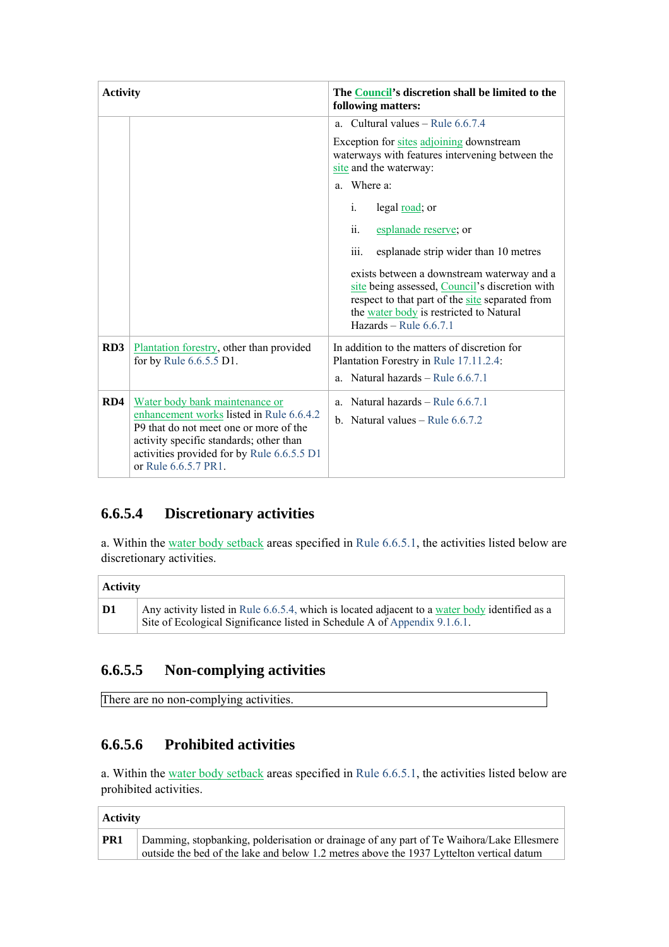| <b>Activity</b> |                                                                                                                                                                                                                                       | The Council's discretion shall be limited to the<br>following matters:                                                                                                                                                                                                                                                                                                                                                                                                                                                |
|-----------------|---------------------------------------------------------------------------------------------------------------------------------------------------------------------------------------------------------------------------------------|-----------------------------------------------------------------------------------------------------------------------------------------------------------------------------------------------------------------------------------------------------------------------------------------------------------------------------------------------------------------------------------------------------------------------------------------------------------------------------------------------------------------------|
|                 |                                                                                                                                                                                                                                       | a. Cultural values – Rule $6.6.7.4$<br>Exception for sites adjoining downstream<br>waterways with features intervening between the<br>site and the waterway:<br>a. Where a:<br>legal <u>road</u> ; or<br>i.<br>esplanade reserve; or<br>ii.<br>esplanade strip wider than 10 metres<br>111.<br>exists between a downstream waterway and a<br>site being assessed, Council's discretion with<br>respect to that part of the site separated from<br>the water body is restricted to Natural<br>Hazards - Rule $6.6.7.1$ |
| RD3             | Plantation forestry, other than provided<br>for by Rule 6.6.5.5 D1.                                                                                                                                                                   | In addition to the matters of discretion for<br>Plantation Forestry in Rule 17.11.2.4:<br>Natural hazards - Rule 6.6.7.1<br>a.                                                                                                                                                                                                                                                                                                                                                                                        |
| RD4             | Water body bank maintenance or<br>enhancement works listed in Rule 6.6.4.2<br>P9 that do not meet one or more of the<br>activity specific standards; other than<br>activities provided for by Rule 6.6.5.5 D1<br>or Rule 6.6.5.7 PR1. | Natural hazards – Rule $6.6.7.1$<br>a.<br>b. Natural values $-$ Rule 6.6.7.2                                                                                                                                                                                                                                                                                                                                                                                                                                          |

# **6.6.5.4 Discretionary activities**

a. Within the water body setback areas specified in Rule 6.6.5.1, the activities listed below are discretionary activities.

|    | <b>Activity</b>                                                                                                                                                             |  |  |
|----|-----------------------------------------------------------------------------------------------------------------------------------------------------------------------------|--|--|
| D1 | Any activity listed in Rule 6.6.5.4, which is located adjacent to a water body identified as a<br>Site of Ecological Significance listed in Schedule A of Appendix 9.1.6.1. |  |  |

# **6.6.5.5 Non-complying activities**

There are no non-complying activities.

## **6.6.5.6 Prohibited activities**

a. Within the water body setback areas specified in Rule 6.6.5.1, the activities listed below are prohibited activities.

| <b>Activity</b> |  |
|-----------------|--|
|-----------------|--|

| PR1<br>Damming, stopbanking, polderisation or drainage of any part of Te Waihora/Lake Ellesmere<br>outside the bed of the lake and below 1.2 metres above the 1937 Lyttelton vertical datum |
|---------------------------------------------------------------------------------------------------------------------------------------------------------------------------------------------|
|---------------------------------------------------------------------------------------------------------------------------------------------------------------------------------------------|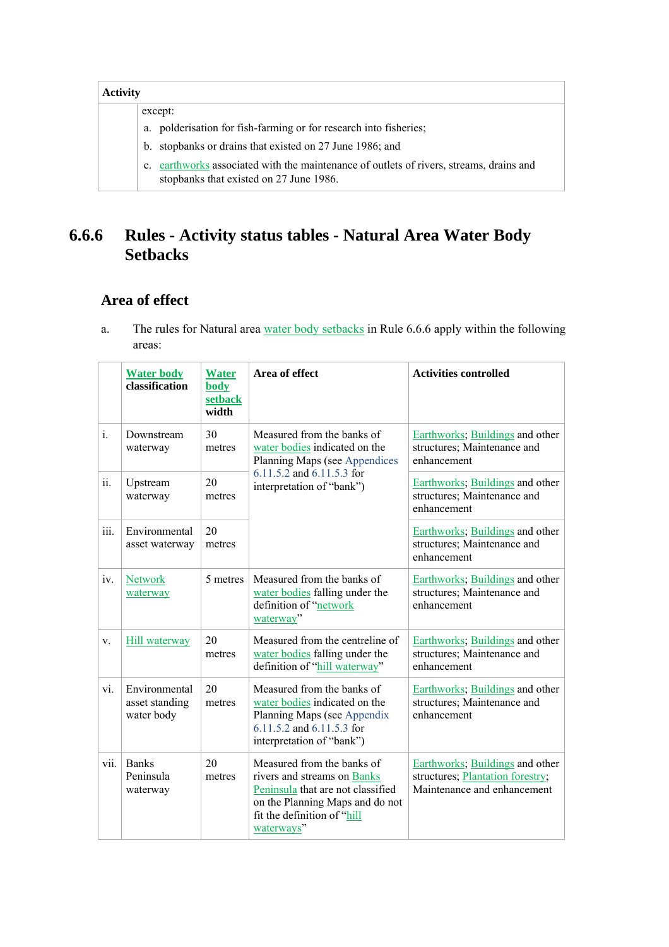| <b>Activity</b>                                                                                                                       |  |  |
|---------------------------------------------------------------------------------------------------------------------------------------|--|--|
| except:                                                                                                                               |  |  |
| a. polderisation for fish-farming or for research into fisheries;                                                                     |  |  |
| stopbanks or drains that existed on 27 June 1986; and<br>$b_{1}$                                                                      |  |  |
| earthworks associated with the maintenance of outlets of rivers, streams, drains and<br>c.<br>stopbanks that existed on 27 June 1986. |  |  |

# **6.6.6 Rules - Activity status tables - Natural Area Water Body Setbacks**

## **Area of effect**

a. The rules for Natural area water body setbacks in Rule 6.6.6 apply within the following areas:

|       | <b>Water body</b><br>classification           | <b>Water</b><br>body<br>setback<br>width | Area of effect                                                                                                                                                                  | <b>Activities controlled</b>                                                                       |
|-------|-----------------------------------------------|------------------------------------------|---------------------------------------------------------------------------------------------------------------------------------------------------------------------------------|----------------------------------------------------------------------------------------------------|
| $i$ . | Downstream<br>waterway                        | 30<br>metres                             | Measured from the banks of<br>water bodies indicated on the<br>Planning Maps (see Appendices                                                                                    | Earthworks; Buildings and other<br>structures; Maintenance and<br>enhancement                      |
| ii.   | Upstream<br>waterway                          | 20<br>metres                             | 6.11.5.2 and 6.11.5.3 for<br>interpretation of "bank")                                                                                                                          | Earthworks; Buildings and other<br>structures; Maintenance and<br>enhancement                      |
| iii.  | Environmental<br>asset waterway               | 20<br>metres                             |                                                                                                                                                                                 | Earthworks; Buildings and other<br>structures; Maintenance and<br>enhancement                      |
| iv.   | <b>Network</b><br>waterway                    | 5 metres                                 | Measured from the banks of<br>water bodies falling under the<br>definition of "network<br>waterway"                                                                             | Earthworks; Buildings and other<br>structures; Maintenance and<br>enhancement                      |
| V.    | <b>Hill waterway</b>                          | 20<br>metres                             | Measured from the centreline of<br>water bodies falling under the<br>definition of "hill waterway"                                                                              | Earthworks; Buildings and other<br>structures; Maintenance and<br>enhancement                      |
| vi.   | Environmental<br>asset standing<br>water body | 20<br>metres                             | Measured from the banks of<br>water bodies indicated on the<br>Planning Maps (see Appendix<br>6.11.5.2 and 6.11.5.3 for<br>interpretation of "bank")                            | Earthworks; Buildings and other<br>structures; Maintenance and<br>enhancement                      |
| vii.  | <b>Banks</b><br>Peninsula<br>waterway         | 20<br>metres                             | Measured from the banks of<br>rivers and streams on Banks<br>Peninsula that are not classified<br>on the Planning Maps and do not<br>fit the definition of "hill"<br>waterways" | Earthworks; Buildings and other<br>structures; Plantation forestry;<br>Maintenance and enhancement |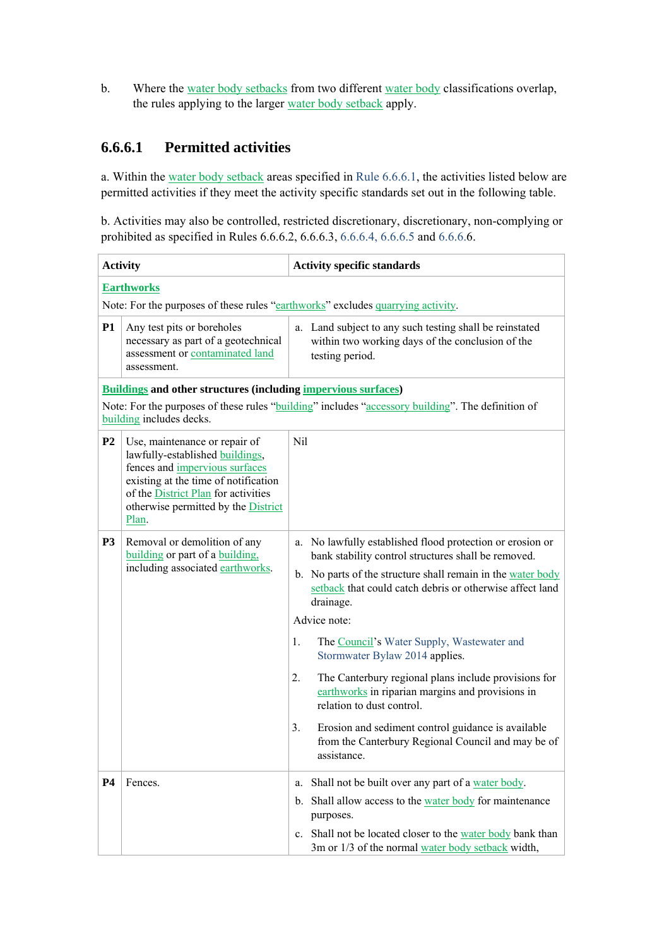b. Where the water body setbacks from two different water body classifications overlap, the rules applying to the larger water body setback apply.

#### **6.6.6.1 Permitted activities**

a. Within the water body setback areas specified in Rule 6.6.6.1, the activities listed below are permitted activities if they meet the activity specific standards set out in the following table.

b. Activities may also be controlled, restricted discretionary, discretionary, non-complying or prohibited as specified in Rules 6.6.6.2, 6.6.6.3, 6.6.6.4, 6.6.6.5 and 6.6.6.6.

| <b>Activity</b>                                                                                                               |                                                                                                                                                                                                                                                 | <b>Activity specific standards</b>                                                                                                                                                                                                                                                                                                                                                                                                                                                                                                                                                                                                                |  |  |  |
|-------------------------------------------------------------------------------------------------------------------------------|-------------------------------------------------------------------------------------------------------------------------------------------------------------------------------------------------------------------------------------------------|---------------------------------------------------------------------------------------------------------------------------------------------------------------------------------------------------------------------------------------------------------------------------------------------------------------------------------------------------------------------------------------------------------------------------------------------------------------------------------------------------------------------------------------------------------------------------------------------------------------------------------------------------|--|--|--|
|                                                                                                                               | <b>Earthworks</b>                                                                                                                                                                                                                               |                                                                                                                                                                                                                                                                                                                                                                                                                                                                                                                                                                                                                                                   |  |  |  |
| Note: For the purposes of these rules "earthworks" excludes quarrying activity.                                               |                                                                                                                                                                                                                                                 |                                                                                                                                                                                                                                                                                                                                                                                                                                                                                                                                                                                                                                                   |  |  |  |
| <b>P1</b>                                                                                                                     | Any test pits or boreholes<br>necessary as part of a geotechnical<br>assessment or contaminated land<br>assessment.                                                                                                                             | a. Land subject to any such testing shall be reinstated<br>within two working days of the conclusion of the<br>testing period.                                                                                                                                                                                                                                                                                                                                                                                                                                                                                                                    |  |  |  |
|                                                                                                                               | <b>Buildings and other structures (including impervious surfaces)</b>                                                                                                                                                                           |                                                                                                                                                                                                                                                                                                                                                                                                                                                                                                                                                                                                                                                   |  |  |  |
| Note: For the purposes of these rules "building" includes "accessory building". The definition of<br>building includes decks. |                                                                                                                                                                                                                                                 |                                                                                                                                                                                                                                                                                                                                                                                                                                                                                                                                                                                                                                                   |  |  |  |
| P <sub>2</sub>                                                                                                                | Use, maintenance or repair of<br>lawfully-established buildings,<br>fences and impervious surfaces<br>existing at the time of notification<br>of the <b>District Plan</b> for activities<br>otherwise permitted by the <b>District</b><br>Plan. | Nil                                                                                                                                                                                                                                                                                                                                                                                                                                                                                                                                                                                                                                               |  |  |  |
| P <sub>3</sub>                                                                                                                | Removal or demolition of any<br>building or part of a building.<br>including associated earthworks.                                                                                                                                             | No lawfully established flood protection or erosion or<br>a.<br>bank stability control structures shall be removed.<br>b. No parts of the structure shall remain in the water body<br>setback that could catch debris or otherwise affect land<br>drainage.<br>Advice note:<br>1.<br>The Council's Water Supply, Wastewater and<br>Stormwater Bylaw 2014 applies.<br>2.<br>The Canterbury regional plans include provisions for<br>earthworks in riparian margins and provisions in<br>relation to dust control.<br>3.<br>Erosion and sediment control guidance is available<br>from the Canterbury Regional Council and may be of<br>assistance. |  |  |  |
| <b>P4</b>                                                                                                                     | Fences.                                                                                                                                                                                                                                         | Shall not be built over any part of a water body.<br>a.<br>Shall allow access to the water body for maintenance<br>$\mathbf{b}$ .<br>purposes.<br>Shall not be located closer to the water body bank than<br>$c_{\cdot}$<br>3m or 1/3 of the normal water body setback width,                                                                                                                                                                                                                                                                                                                                                                     |  |  |  |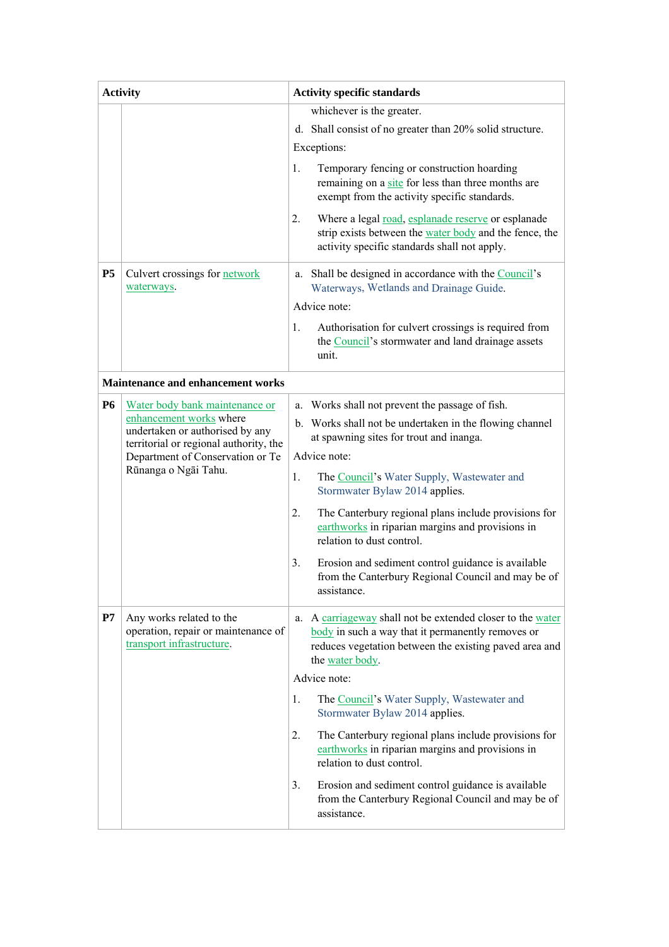| <b>Activity</b> |                                                                                              | <b>Activity specific standards</b> |                                                                                                                                                                                           |  |
|-----------------|----------------------------------------------------------------------------------------------|------------------------------------|-------------------------------------------------------------------------------------------------------------------------------------------------------------------------------------------|--|
|                 |                                                                                              |                                    | whichever is the greater.                                                                                                                                                                 |  |
|                 |                                                                                              |                                    | d. Shall consist of no greater than 20% solid structure.                                                                                                                                  |  |
|                 |                                                                                              |                                    | Exceptions:                                                                                                                                                                               |  |
|                 |                                                                                              | 1.                                 | Temporary fencing or construction hoarding<br>remaining on a site for less than three months are<br>exempt from the activity specific standards.                                          |  |
|                 |                                                                                              | 2.                                 | Where a legal road, esplanade reserve or esplanade<br>strip exists between the water body and the fence, the<br>activity specific standards shall not apply.                              |  |
| <b>P5</b>       | Culvert crossings for network<br>waterways.                                                  |                                    | a. Shall be designed in accordance with the Council's<br>Waterways, Wetlands and Drainage Guide.                                                                                          |  |
|                 |                                                                                              |                                    | Advice note:                                                                                                                                                                              |  |
|                 |                                                                                              | 1.                                 | Authorisation for culvert crossings is required from<br>the Council's stormwater and land drainage assets<br>unit.                                                                        |  |
|                 | Maintenance and enhancement works                                                            |                                    |                                                                                                                                                                                           |  |
| <b>P6</b>       | Water body bank maintenance or                                                               |                                    | a. Works shall not prevent the passage of fish.                                                                                                                                           |  |
|                 | enhancement works where<br>undertaken or authorised by any                                   |                                    | b. Works shall not be undertaken in the flowing channel                                                                                                                                   |  |
|                 | territorial or regional authority, the                                                       |                                    | at spawning sites for trout and inanga.                                                                                                                                                   |  |
|                 | Department of Conservation or Te<br>Rūnanga o Ngāi Tahu.                                     |                                    | Advice note:                                                                                                                                                                              |  |
|                 |                                                                                              | 1.                                 | The Council's Water Supply, Wastewater and<br>Stormwater Bylaw 2014 applies.                                                                                                              |  |
|                 |                                                                                              | 2.                                 | The Canterbury regional plans include provisions for<br>earthworks in riparian margins and provisions in<br>relation to dust control.                                                     |  |
|                 |                                                                                              |                                    | Erosion and sediment control guidance is available<br>from the Canterbury Regional Council and may be of<br>assistance.                                                                   |  |
| P7              | Any works related to the<br>operation, repair or maintenance of<br>transport infrastructure. | a.                                 | A carriageway shall not be extended closer to the water<br>body in such a way that it permanently removes or<br>reduces vegetation between the existing paved area and<br>the water body. |  |
|                 |                                                                                              | Advice note:                       |                                                                                                                                                                                           |  |
|                 |                                                                                              | 1.                                 | The Council's Water Supply, Wastewater and<br>Stormwater Bylaw 2014 applies.                                                                                                              |  |
|                 |                                                                                              | 2.                                 | The Canterbury regional plans include provisions for<br>earthworks in riparian margins and provisions in<br>relation to dust control.                                                     |  |
|                 |                                                                                              | 3.                                 | Erosion and sediment control guidance is available<br>from the Canterbury Regional Council and may be of<br>assistance.                                                                   |  |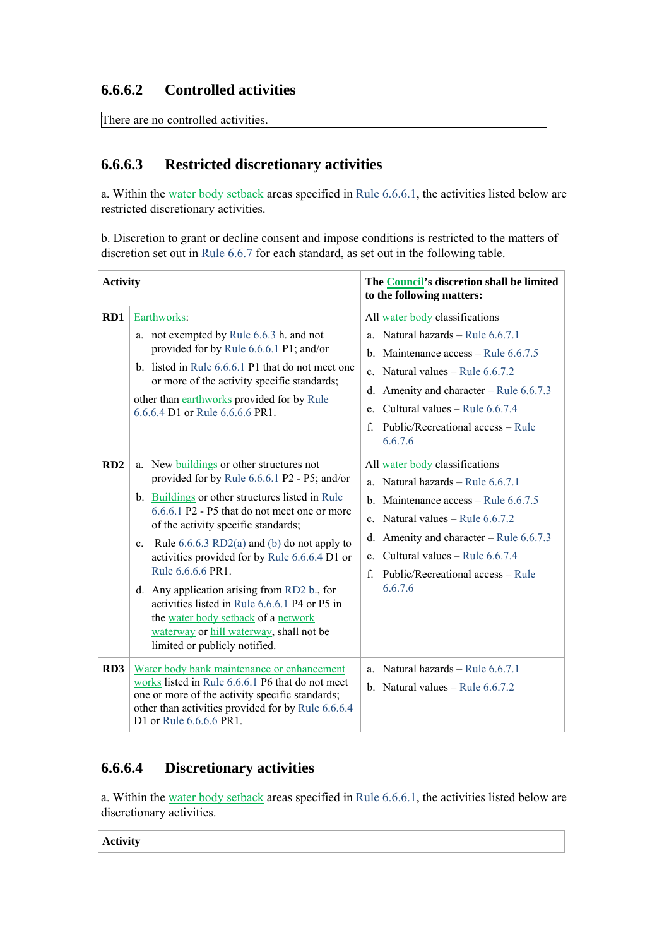#### **6.6.6.2 Controlled activities**

There are no controlled activities.

## **6.6.6.3 Restricted discretionary activities**

a. Within the water body setback areas specified in Rule 6.6.6.1, the activities listed below are restricted discretionary activities.

b. Discretion to grant or decline consent and impose conditions is restricted to the matters of discretion set out in Rule 6.6.7 for each standard, as set out in the following table.

| <b>Activity</b> |                                                                                                                                                                                                                                                                                                                                                                                                                                                                                                                                                                                        | The Council's discretion shall be limited<br>to the following matters:                                                                                                                                                                                                                                           |
|-----------------|----------------------------------------------------------------------------------------------------------------------------------------------------------------------------------------------------------------------------------------------------------------------------------------------------------------------------------------------------------------------------------------------------------------------------------------------------------------------------------------------------------------------------------------------------------------------------------------|------------------------------------------------------------------------------------------------------------------------------------------------------------------------------------------------------------------------------------------------------------------------------------------------------------------|
| RD1             | Earthworks:<br>a. not exempted by Rule 6.6.3 h. and not<br>provided for by Rule 6.6.6.1 P1; and/or<br>b. listed in Rule 6.6.6.1 P1 that do not meet one<br>or more of the activity specific standards;<br>other than earthworks provided for by Rule<br>6.6.6.4 D1 or Rule 6.6.6.6 PR1.                                                                                                                                                                                                                                                                                                | All water body classifications<br>Natural hazards - Rule 6.6.7.1<br>a.<br>b. Maintenance $access - Rule 6.6.7.5$<br>Natural values – Rule $6.6.7.2$<br>$\mathbf{c}$ .<br>d. Amenity and character – Rule $6.6.7.3$<br>Cultural values - Rule 6.6.7.4<br>e.<br>Public/Recreational access – Rule<br>f.<br>6.6.7.6 |
| RD2             | a. New buildings or other structures not<br>provided for by Rule 6.6.6.1 P2 - P5; and/or<br>b. Buildings or other structures listed in Rule<br>6.6.6.1 P2 - P5 that do not meet one or more<br>of the activity specific standards;<br>c. Rule $6.6.6.3 \text{ RD}(a)$ and (b) do not apply to<br>activities provided for by Rule 6.6.6.4 D1 or<br>Rule 6.6.6.6 PR1.<br>d. Any application arising from RD2 b., for<br>activities listed in Rule 6.6.6.1 P4 or P5 in<br>the water body setback of a network<br>waterway or hill waterway, shall not be<br>limited or publicly notified. | All water body classifications<br>Natural hazards - Rule 6.6.7.1<br>a<br>b. Maintenance $access - Rule 6.6.7.5$<br>Natural values – Rule $6.6.7.2$<br>$\mathbf{c}$ .<br>d. Amenity and character – Rule $6.6.7.3$<br>Cultural values – Rule 6.6.7.4<br>e.<br>Public/Recreational access – Rule<br>f<br>6.6.7.6   |
| RD3             | Water body bank maintenance or enhancement<br>works listed in Rule 6.6.6.1 P6 that do not meet<br>one or more of the activity specific standards;<br>other than activities provided for by Rule 6.6.6.4<br>D1 or Rule 6.6.6.6 PR1.                                                                                                                                                                                                                                                                                                                                                     | a. Natural hazards - Rule $6.6.7.1$<br>b. Natural values $-$ Rule 6.6.7.2                                                                                                                                                                                                                                        |

## **6.6.6.4 Discretionary activities**

a. Within the water body setback areas specified in Rule 6.6.6.1, the activities listed below are discretionary activities.

**Activity**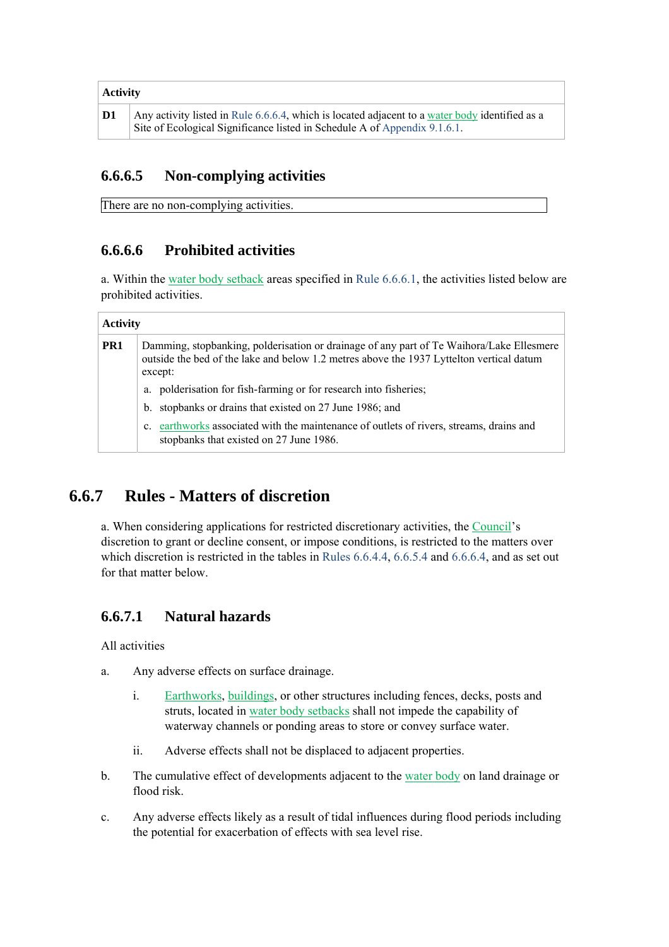| <b>Activity</b> |                                                                                                                                                                             |  |
|-----------------|-----------------------------------------------------------------------------------------------------------------------------------------------------------------------------|--|
| D <sub>1</sub>  | Any activity listed in Rule 6.6.6.4, which is located adjacent to a water body identified as a<br>Site of Ecological Significance listed in Schedule A of Appendix 9.1.6.1. |  |

## **6.6.6.5 Non-complying activities**

There are no non-complying activities.

## **6.6.6.6 Prohibited activities**

a. Within the water body setback areas specified in Rule 6.6.6.1, the activities listed below are prohibited activities.

| <b>Activity</b> |                                                                                                                                                                                                 |  |  |
|-----------------|-------------------------------------------------------------------------------------------------------------------------------------------------------------------------------------------------|--|--|
| PR <sub>1</sub> | Damming, stopbanking, polderisation or drainage of any part of Te Waihora/Lake Ellesmere<br>outside the bed of the lake and below 1.2 metres above the 1937 Lyttelton vertical datum<br>except: |  |  |
|                 | a. polderisation for fish-farming or for research into fisheries;                                                                                                                               |  |  |
|                 | stopbanks or drains that existed on 27 June 1986; and<br>$b_{1}$                                                                                                                                |  |  |
|                 | earthworks associated with the maintenance of outlets of rivers, streams, drains and<br>$\mathbf{c}$ .<br>stopbanks that existed on 27 June 1986.                                               |  |  |

# **6.6.7 Rules - Matters of discretion**

a. When considering applications for restricted discretionary activities, the Council's discretion to grant or decline consent, or impose conditions, is restricted to the matters over which discretion is restricted in the tables in Rules 6.6.4.4, 6.6.5.4 and 6.6.6.4, and as set out for that matter below.

## **6.6.7.1 Natural hazards**

All activities

- a. Any adverse effects on surface drainage.
	- i. Earthworks, buildings, or other structures including fences, decks, posts and struts, located in water body setbacks shall not impede the capability of waterway channels or ponding areas to store or convey surface water.
	- ii. Adverse effects shall not be displaced to adjacent properties.
- b. The cumulative effect of developments adjacent to the water body on land drainage or flood risk.
- c. Any adverse effects likely as a result of tidal influences during flood periods including the potential for exacerbation of effects with sea level rise.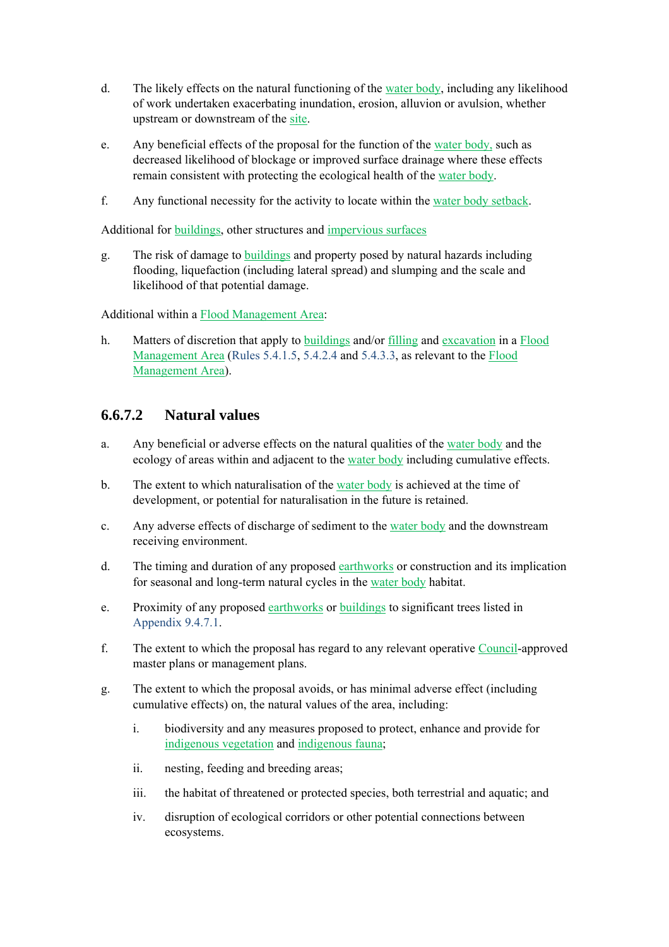- d. The likely effects on the natural functioning of the water body, including any likelihood of work undertaken exacerbating inundation, erosion, alluvion or avulsion, whether upstream or downstream of the site.
- e. Any beneficial effects of the proposal for the function of the water body, such as decreased likelihood of blockage or improved surface drainage where these effects remain consistent with protecting the ecological health of the water body.
- f. Any functional necessity for the activity to locate within the water body setback.

Additional for buildings, other structures and impervious surfaces

g. The risk of damage to buildings and property posed by natural hazards including flooding, liquefaction (including lateral spread) and slumping and the scale and likelihood of that potential damage.

Additional within a Flood Management Area:

h. Matters of discretion that apply to buildings and/or filling and excavation in a Flood Management Area (Rules 5.4.1.5, 5.4.2.4 and 5.4.3.3, as relevant to the Flood Management Area).

#### **6.6.7.2 Natural values**

- a. Any beneficial or adverse effects on the natural qualities of the water body and the ecology of areas within and adjacent to the water body including cumulative effects.
- b. The extent to which naturalisation of the water body is achieved at the time of development, or potential for naturalisation in the future is retained.
- c. Any adverse effects of discharge of sediment to the water body and the downstream receiving environment.
- d. The timing and duration of any proposed earthworks or construction and its implication for seasonal and long-term natural cycles in the water body habitat.
- e. Proximity of any proposed earthworks or buildings to significant trees listed in Appendix 9.4.7.1.
- f. The extent to which the proposal has regard to any relevant operative Council-approved master plans or management plans.
- g. The extent to which the proposal avoids, or has minimal adverse effect (including cumulative effects) on, the natural values of the area, including:
	- i. biodiversity and any measures proposed to protect, enhance and provide for indigenous vegetation and indigenous fauna;
	- ii. nesting, feeding and breeding areas;
	- iii. the habitat of threatened or protected species, both terrestrial and aquatic; and
	- iv. disruption of ecological corridors or other potential connections between ecosystems.